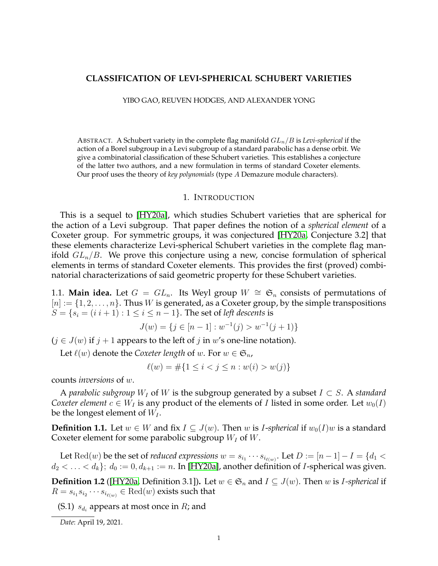# **CLASSIFICATION OF LEVI-SPHERICAL SCHUBERT VARIETIES**

YIBO GAO, REUVEN HODGES, AND ALEXANDER YONG

ABSTRACT. A Schubert variety in the complete flag manifold  $GL_n/B$  is *Levi-spherical* if the action of a Borel subgroup in a Levi subgroup of a standard parabolic has a dense orbit. We give a combinatorial classification of these Schubert varieties. This establishes a conjecture of the latter two authors, and a new formulation in terms of standard Coxeter elements. Our proof uses the theory of *key polynomials* (type A Demazure module characters).

#### 1. INTRODUCTION

<span id="page-0-2"></span>This is a sequel to [\[HY20a\]](#page-29-0), which studies Schubert varieties that are spherical for the action of a Levi subgroup. That paper defines the notion of a *spherical element* of a Coxeter group. For symmetric groups, it was conjectured [\[HY20a,](#page-29-0) Conjecture 3.2] that these elements characterize Levi-spherical Schubert varieties in the complete flag manifold  $GL_n/B$ . We prove this conjecture using a new, concise formulation of spherical elements in terms of standard Coxeter elements. This provides the first (proved) combinatorial characterizations of said geometric property for these Schubert varieties.

1.1. **Main idea.** Let  $G = GL_n$ . Its Weyl group  $W \cong \mathfrak{S}_n$  consists of permutations of  $[n] := \{1, 2, \ldots, n\}$ . Thus *W* is generated, as a Coxeter group, by the simple transpositions  $S = \{s_i = (i \ i+1) : 1 \leq i \leq n-1\}$ . The set of *left descents* is

$$
J(w) = \{ j \in [n-1] : w^{-1}(j) > w^{-1}(j+1) \}
$$

 $(j \in J(w)$  if  $j + 1$  appears to the left of  $j$  in  $w'$ s one-line notation).

Let  $\ell(w)$  denote the *Coxeter length* of w. For  $w \in \mathfrak{S}_n$ ,

$$
\ell(w) = \#\{1 \le i < j \le n : w(i) > w(j)\}
$$

counts *inversions* of w.

A *parabolic subgroup*  $W_I$  of W is the subgroup generated by a subset  $I \subset S$ . A *standard Coxeter element*  $c \in W_I$  is any product of the elements of *I* listed in some order. Let  $w_0(I)$ be the longest element of  $W_I$ .

<span id="page-0-0"></span>**Definition 1.1.** Let  $w \in W$  and fix  $I \subseteq J(w)$ . Then w is *I-spherical* if  $w_0(I)w$  is a standard Coxeter element for some parabolic subgroup  $W_I$  of  $W$ .

Let  $\mathrm{Red}(w)$  be the set of *reduced expressions*  $w = s_{i_1} \cdots s_{i_{\ell(w)}}.$  Let  $D := [n-1] - I = \{d_1 < \ell \}$  $d_2 < \ldots < d_k$ ;  $d_0 := 0, d_{k+1} := n$ . In [\[HY20a\]](#page-29-0), another definition of *I*-spherical was given.

<span id="page-0-1"></span>**Definition 1.2** ([\[HY20a,](#page-29-0) Definition 3.1]). Let  $w \in \mathfrak{S}_n$  and  $I \subseteq J(w)$ . Then w is *I-spherical* if  $R = s_{i_1} s_{i_2} \cdots s_{i_{\ell(w)}} \in \text{Red}(w)$  exists such that

(S.1)  $s_{d_i}$  appears at most once in  $R$ ; and

*Date*: April 19, 2021.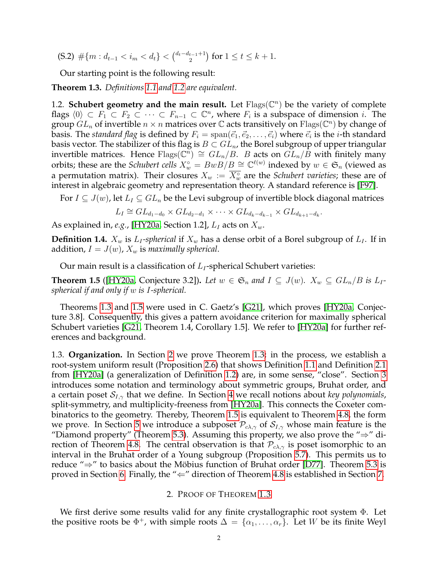(S.2)  $\#\{m : d_{t-1} < i_m < d_t\} < {d_t - d_{t-1} + 1 \choose 2}$  $\binom{t-1}{2}$  for  $1 \le t \le k+1$ .

Our starting point is the following result:

<span id="page-1-0"></span>**Theorem 1.3.** *Definitions [1.1](#page-0-0) and [1.2](#page-0-1) are equivalent.*

1.2. **Schubert geometry and the main result.** Let  $Flags(\mathbb{C}^n)$  be the variety of complete flags  $\langle 0 \rangle \subset F_1 \subset F_2 \subset \cdots \subset F_{n-1} \subset \mathbb{C}^n$ , where  $F_i$  is a subspace of dimension i. The group  $GL_n$  of invertible  $n \times n$  matrices over  $\mathbb C$  acts transitively on  $\mathrm{Flags}(\mathbb C^n)$  by change of basis. The *standard flag* is defined by  $F_i = \text{span}(\vec{e}_1, \vec{e}_2, \dots, \vec{e}_i)$  where  $\vec{e}_i$  is the *i*-th standard basis vector. The stabilizer of this flag is  $B \subset GL_n$ , the Borel subgroup of upper triangular invertible matrices. Hence  $\text{Flags}(\mathbb{C}^n) \cong GL_n/B$ . B acts on  $GL_n/B$  with finitely many orbits; these are the *Schubert cells*  $X_w^{\circ} = BwB/B \cong \mathbb{C}^{\ell(w)}$  indexed by  $w \in \mathfrak{S}_n$  (viewed as a permutation matrix). Their closures  $X_w := \overline{X_w^{\circ}}$  are the *Schubert varieties*; these are of interest in algebraic geometry and representation theory. A standard reference is [\[F97\]](#page-29-1).

For  $I \subseteq J(w)$ , let  $L_I \subseteq GL_n$  be the Levi subgroup of invertible block diagonal matrices

$$
L_I \cong GL_{d_1-d_0} \times GL_{d_2-d_1} \times \cdots \times GL_{d_k-d_{k-1}} \times GL_{d_{k+1}-d_k}.
$$

As explained in, *e.g.*, [\[HY20a,](#page-29-0) Section 1.2],  $L_I$  acts on  $X_w$ .

**Definition 1.4.**  $X_w$  is  $L_I$ -spherical if  $X_w$  has a dense orbit of a Borel subgroup of  $L_I$ . If in addition,  $I = J(w)$ ,  $X_w$  is *maximally spherical*.

Our main result is a classification of  $L_I$ -spherical Schubert varieties:

<span id="page-1-1"></span>**Theorem 1.5** ([\[HY20a,](#page-29-0) Conjecture 3.2]). Let  $w \in \mathfrak{S}_n$  and  $I \subseteq J(w)$ .  $X_w \subseteq GL_n/B$  is  $L_I$ *spherical if and only if* w *is* I*-spherical.*

Theorems [1.3](#page-1-0) and [1.5](#page-1-1) were used in C. Gaetz's [\[G21\]](#page-29-2), which proves [\[HY20a,](#page-29-0) Conjecture 3.8]. Consequently, this gives a pattern avoidance criterion for maximally spherical Schubert varieties [\[G21,](#page-29-2) Theorem 1.4, Corollary 1.5]. We refer to [\[HY20a\]](#page-29-0) for further references and background.

1.3. **Organization.** In Section [2](#page-1-2) we prove Theorem [1.3;](#page-1-0) in the process, we establish a root-system uniform result (Proposition [2.6\)](#page-4-0) that shows Definition [1.1](#page-0-0) and Definition [2.1](#page-2-0) from [\[HY20a\]](#page-29-0) (a generalization of Definition [1.2\)](#page-0-1) are, in some sense, "close". Section [3](#page-6-0) introduces some notation and terminology about symmetric groups, Bruhat order, and a certain poset  $S_{I,\gamma}$  that we define. In Section [4](#page-8-0) we recall notions about *key polynomials*, split-symmetry, and multiplicity-freeness from [\[HY20a\]](#page-29-0). This connects the Coxeter combinatorics to the geometry. Thereby, Theorem [1.5](#page-1-1) is equivalent to Theorem [4.8,](#page-10-0) the form we prove. In Section [5](#page-11-0) we introduce a subposet  $P_{c\lambda,\gamma}$  of  $S_{I,\gamma}$  whose main feature is the "Diamond property" (Theorem [5.3\)](#page-11-1). Assuming this property, we also prove the " $\Rightarrow$ " di-rection of Theorem [4.8.](#page-10-0) The central observation is that  $\mathcal{P}_{c\lambda,\gamma}$  is poset isomorphic to an interval in the Bruhat order of a Young subgroup (Proposition [5.7\)](#page-12-0). This permits us to reduce " $\Rightarrow$ " to basics about the Möbius function of Bruhat order [\[D77\]](#page-29-3). Theorem [5.3](#page-11-1) is proved in Section [6.](#page-13-0) Finally, the " $\Leftarrow$ " direction of Theorem [4.8](#page-10-0) is established in Section [7.](#page-25-0)

### 2. PROOF OF THEOREM [1.3](#page-1-0)

<span id="page-1-2"></span>We first derive some results valid for any finite crystallographic root system Φ. Let the positive roots be  $\Phi^+$ , with simple roots  $\Delta = {\alpha_1, \ldots, \alpha_r}$ . Let W be its finite Weyl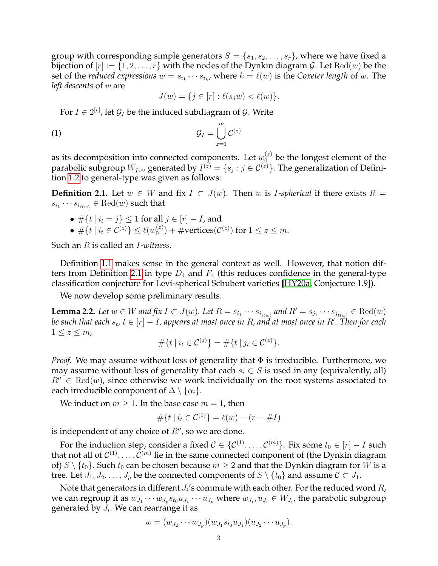group with corresponding simple generators  $S = \{s_1, s_2, \ldots, s_r\}$ , where we have fixed a bijection of  $[r] := \{1, 2, \ldots, r\}$  with the nodes of the Dynkin diagram G. Let  $\text{Red}(w)$  be the set of the *reduced expressions*  $w = s_{i_1} \cdots s_{i_k}$ , where  $k = \ell(w)$  is the *Coxeter length* of w. The *left descents* of w are

$$
J(w) = \{ j \in [r] : \ell(s_j w) < \ell(w) \}.
$$

For  $I\in 2^{[r]}$ , let  $\mathcal{G}_I$  be the induced subdiagram of  $\mathcal{G}.$  Write

$$
G_I = \bigcup_{z=1}^m C^{(z)}
$$

as its decomposition into connected components. Let  $w_0^{(z)}$  be the longest element of the parabolic subgroup  $W_{I^{(z)}}$  generated by  $I^{(z)}=\{s_j:j\in \mathcal{C}^{(z)}\}.$  The generalization of Definition [1.2](#page-0-1) to general-type was given as follows:

<span id="page-2-0"></span>**Definition 2.1.** Let  $w ∈ W$  and fix  $I ⊂ J(w)$ . Then w is *I-spherical* if there exists  $R =$  $s_{i_1}\cdots s_{i_{\ell(w)}}\in \mathrm{Red}(w)$  such that

• 
$$
\# \{ t \mid i_t = j \} \leq 1
$$
 for all  $j \in [r] - I$ , and

 $\bullet \; \#\{t \: | \: i_t \in \mathcal{C}^{(z)}\} \leq \ell(w_0^{(z)})$  $\mathcal{O}^{(z)}_0$  + #vertices( $\mathcal{C}^{(z)}$ ) for  $1 \leq z \leq m$ .

Such an R is called an I-*witness*.

Definition [1.1](#page-0-0) makes sense in the general context as well. However, that notion dif-fers from Definition [2.1](#page-2-0) in type  $D_4$  and  $F_4$  (this reduces confidence in the general-type classification conjecture for Levi-spherical Schubert varieties [\[HY20a,](#page-29-0) Conjecture 1.9]).

We now develop some preliminary results.

**Lemma 2.2.** Let  $w \in W$  and fix  $I \subset J(w)$ . Let  $R = s_{i_1} \cdots s_{i_{\ell(w)}}$  and  $R' = s_{j_1} \cdots s_{j_{\ell(w)}} \in \text{Red}(w)$  $b$ e such that each  $s_t$ ,  $t \in [r] - I$ , appears at most once in  $R$ , and at most once in  $R'.$  Then for each  $1 \leq z \leq m$ ,

$$
\#\{t \mid i_t \in C^{(z)}\} = \#\{t \mid j_t \in C^{(z)}\}.
$$

*Proof.* We may assume without loss of generality that Φ is irreducible. Furthermore, we may assume without loss of generality that each  $s_i \in S$  is used in any (equivalently, all)  $R'' \in \text{Red}(w)$ , since otherwise we work individually on the root systems associated to each irreducible component of  $\Delta \setminus \{\alpha_i\}.$ 

We induct on  $m \geq 1$ . In the base case  $m = 1$ , then

$$
\#\{t \mid i_t \in C^{(1)}\} = \ell(w) - (r - \#I)
$$

is independent of any choice of  $R''$ , so we are done.

For the induction step, consider a fixed  $\mathcal{C}\in\{\mathcal{C}^{(1)},\ldots,\mathcal{C}^{(m)}\}.$  Fix some  $t_0\in[r]-I$  such that not all of  $\mathcal{C}^{(1)}, \ldots, \mathcal{C}^{(m)}$  lie in the same connected component of (the Dynkin diagram of)  $S \setminus \{t_0\}$ . Such  $t_0$  can be chosen because  $m \geq 2$  and that the Dynkin diagram for W is a tree. Let  $J_1, J_2, \ldots, J_p$  be the connected components of  $S \setminus \{t_0\}$  and assume  $C \subset J_1$ .

Note that generators in different  $J_i$ 's commute with each other. For the reduced word  $R_\prime$ we can regroup it as  $w_{J_1}\cdots w_{J_p}s_{t_0}u_{J_1}\cdots u_{J_p}$  where  $w_{J_i}, u_{J_i}\in W_{J_i}$ , the parabolic subgroup generated by  $J_i$ . We can rearrange it as

$$
w = (w_{J_2} \cdots w_{J_p})(w_{J_1} s_{t_0} u_{J_1})(u_{J_2} \cdots u_{J_p}).
$$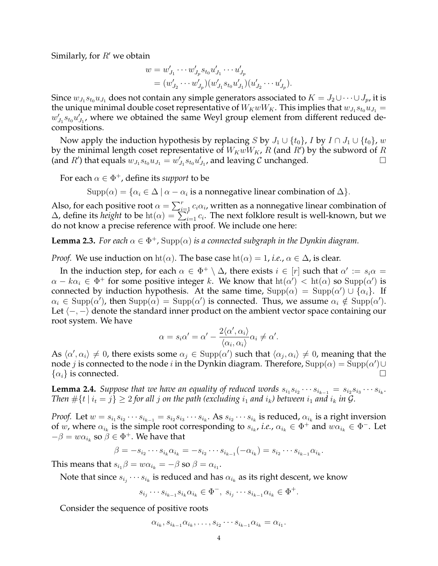Similarly, for  $R'$  we obtain

$$
w = w'_{J_1} \cdots w'_{J_p} s_{t_0} u'_{J_1} \cdots u'_{J_p}
$$
  
=  $(w'_{J_2} \cdots w'_{J_p}) (w'_{J_1} s_{t_0} u'_{J_1}) (u'_{J_2} \cdots u'_{J_p}).$ 

Since  $w_{J_1} s_{t_0} u_{J_1}$  does not contain any simple generators associated to  $K = J_2 \cup \cdots \cup J_p$ , it is the unique minimal double coset representative of  $W_KwW_K$ . This implies that  $w_{J_1}s_{t_0}u_{J_1}$  =  $w'_{J_1}s_{t_0}u'_{J_1}$ , where we obtained the same Weyl group element from different reduced decompositions.

Now apply the induction hypothesis by replacing S by  $J_1 \cup \{t_0\}$ , I by  $I \cap J_1 \cup \{t_0\}$ , w by the minimal length coset representative of  $W_K w \overline{W_K}$ , R (and R') by the subword of R (and R') that equals  $w_{J_1} s_{t_0} u_{J_1} = w'_{J_1} s_{t_0} u'_{J_1}$ , and leaving C unchanged.

For each  $\alpha \in \Phi^+$ , define its *support* to be

 $\text{Supp}(\alpha) = \{ \alpha_i \in \Delta \mid \alpha - \alpha_i \text{ is a nonnegative linear combination of } \Delta \}.$ 

Also, for each positive root  $\alpha = \sum_{i=1}^r c_i \alpha_i$ , written as a nonnegative linear combination of  $\Delta$ , define its *height* to be  $\text{ht}(\alpha) = \sum_{i=1}^{n} c_i$ . The next folklore result is well-known, but we do not know a precise reference with proof. We include one here:

<span id="page-3-0"></span>**Lemma 2.3.** *For each*  $\alpha \in \Phi^+$ ,  $\text{Supp}(\alpha)$  *is a connected subgraph in the Dynkin diagram.* 

*Proof.* We use induction on  $\text{ht}(\alpha)$ . The base case  $\text{ht}(\alpha) = 1$ , *i.e.*,  $\alpha \in \Delta$ , is clear.

In the induction step, for each  $\alpha \in \Phi^+ \setminus \Delta$ , there exists  $i \in [r]$  such that  $\alpha' := s_i \alpha =$  $\alpha - k\alpha_i \in \Phi^+$  for some positive integer k. We know that  $\text{ht}(\alpha') < \text{ht}(\alpha)$  so  $\text{Supp}(\alpha')$  is connected by induction hypothesis. At the same time,  $\text{Supp}(\alpha) = \text{Supp}(\alpha') \cup \{\alpha_i\}$ . If  $\alpha_i \in \text{Supp}(\alpha')$ , then  $\text{Supp}(\alpha) = \text{Supp}(\alpha')$  is connected. Thus, we assume  $\alpha_i \notin \text{Supp}(\alpha')$ . Let  $\langle -, - \rangle$  denote the standard inner product on the ambient vector space containing our root system. We have

$$
\alpha = s_i \alpha' = \alpha' - \frac{2\langle \alpha', \alpha_i \rangle}{\langle \alpha_i, \alpha_i \rangle} \alpha_i \neq \alpha'.
$$

As  $\langle \alpha', \alpha_i \rangle \neq 0$ , there exists some  $\alpha_j \in \text{Supp}(\alpha')$  such that  $\langle \alpha_j, \alpha_i \rangle \neq 0$ , meaning that the node  $j$  is connected to the node  $i$  in the Dynkin diagram. Therefore,  $\mathrm{Supp}(\alpha)=\mathrm{Supp}(\alpha')\cup$  $\{\alpha_i\}$  is connected.

<span id="page-3-1"></span>**Lemma 2.4.** Suppose that we have an equality of reduced words  $s_{i_1}s_{i_2}\cdots s_{i_{k-1}}=s_{i_2}s_{i_3}\cdots s_{i_k}$ . *Then*  $\#\{t \mid i_t = j\} \geq 2$  *for all j on the path (excluding*  $i_1$  *and*  $i_k$ *) between*  $i_1$  *and*  $i_k$  *in G*.

*Proof.* Let  $w = s_{i_1} s_{i_2} \cdots s_{i_{k-1}} = s_{i_2} s_{i_3} \cdots s_{i_k}$ . As  $s_{i_2} \cdots s_{i_k}$  is reduced,  $\alpha_{i_k}$  is a right inversion of w, where  $\alpha_{i_k}$  is the simple root corresponding to  $s_{i_k}$ , *i.e.*,  $\alpha_{i_k} \in \Phi^+$  and  $w\alpha_{i_k} \in \Phi^-$ . Let  $-\beta = w\alpha_{i_k}$  so  $\beta \in \Phi^+$ . We have that

$$
\beta = -s_{i_2} \cdots s_{i_k} \alpha_{i_k} = -s_{i_2} \cdots s_{i_{k-1}} (-\alpha_{i_k}) = s_{i_2} \cdots s_{i_{k-1}} \alpha_{i_k}.
$$

This means that  $s_{i_1}\beta = w\alpha_{i_k} = -\beta$  so  $\beta = \alpha_{i_1}$ .

Note that since  $s_{i_j}\cdots s_{i_k}$  is reduced and has  $\alpha_{i_k}$  as its right descent, we know

$$
s_{i_j}\cdots s_{i_{k-1}}s_{i_k}\alpha_{i_k}\in \Phi^-, \ s_{i_j}\cdots s_{i_{k-1}}\alpha_{i_k}\in \Phi^+.
$$

Consider the sequence of positive roots

$$
\alpha_{i_k}, s_{i_{k-1}}\alpha_{i_k}, \ldots, s_{i_2}\cdots s_{i_{k-1}}\alpha_{i_k} = \alpha_{i_1}.
$$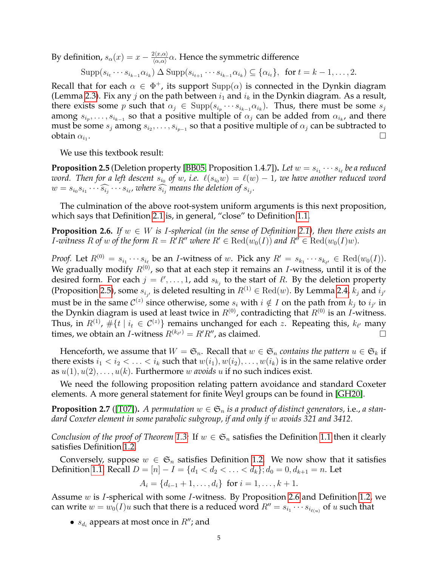By definition,  $s_{\alpha}(x) = x - \frac{2\langle x, \alpha \rangle}{\langle \alpha, \alpha \rangle}$  $\frac{\alpha\langle x,\alpha\rangle}{\langle\alpha,\alpha\rangle}\alpha.$  Hence the symmetric difference

$$
\mathrm{Supp}(s_{i_t}\cdots s_{i_{k-1}}\alpha_{i_k})\Delta \mathrm{Supp}(s_{i_{t+1}}\cdots s_{i_{k-1}}\alpha_{i_k})\subseteq \{\alpha_{i_t}\},\ \text{ for } t=k-1,\ldots,2.
$$

Recall that for each  $\alpha \in \Phi^+$ , its support  $\text{Supp}(\alpha)$  is connected in the Dynkin diagram (Lemma [2.3\)](#page-3-0). Fix any j on the path between  $i_1$  and  $i_k$  in the Dynkin diagram. As a result, there exists some p such that  $\alpha_j \in \text{Supp}(s_{i_p} \cdots s_{i_{k-1}} \alpha_{i_k})$ . Thus, there must be some  $s_j$ among  $s_{i_p},\ldots,s_{i_{k-1}}$  so that a positive multiple of  $\alpha_j$  can be added from  $\alpha_{i_k}$ , and there must be some  $s_j$  among  $s_{i_2},\ldots,s_{i_{p-1}}$  so that a positive multiple of  $\alpha_j$  can be subtracted to obtain  $\alpha_{i_1}$ .  $\blacksquare$ .

We use this textbook result:

<span id="page-4-1"></span>**Proposition 2.5** (Deletion property [\[BB05,](#page-29-4) Proposition 1.4.7]). *Let*  $w = s_{i_1} \cdots s_{i_\ell}$  *be a reduced* word. Then for a left descent  $s_{i_0}$  of w, i.e.  $\,\ell(s_{i_0}w) \,=\, \ell(w) - 1$ , we have another reduced word  $w = s_{i_0} s_{i_1} \cdots \widehat{s_{i_j}} \cdots s_{i_\ell}$ , where  $\widehat{s_{i_j}}$  means the deletion of  $s_{i_j}$ .

The culmination of the above root-system uniform arguments is this next proposition, which says that Definition [2.1](#page-2-0) is, in general, "close" to Definition [1.1.](#page-0-0)

<span id="page-4-0"></span>**Proposition 2.6.** *If*  $w \in W$  *is I-spherical (in the sense of Definition [2.1\)](#page-2-0), then there exists an I*-witness R of w of the form  $R = R'R''$  where  $R' \in \text{Red}(w_0(I))$  and  $R'' \in \text{Red}(w_0(I)w)$ .

*Proof.* Let  $R^{(0)} = s_{i_1} \cdots s_{i_\ell}$  be an *I*-witness of w. Pick any  $R' = s_{k_1} \cdots s_{k_{\ell'}} \in \text{Red}(w_0(I)).$ We gradually modify  $R^{(0)}$ , so that at each step it remains an *I*-witness, until it is of the desired form. For each  $j = \ell', \ldots, 1$ , add  $s_{k_j}$  to the start of R. By the deletion property (Proposition [2.5\)](#page-4-1), some  $s_{i_{j'}}$  is deleted resulting in  $R^{(1)} \in \text{Red}(w)$ . By Lemma [2.4,](#page-3-1)  $k_j$  and  $i_{j'}$ must be in the same  $\mathcal{C}^{(z)}$  since otherwise, some  $s_i$  with  $i \notin I$  on the path from  $k_j$  to  $i_{j'}$  in the Dynkin diagram is used at least twice in  $R^{(0)}$ , contradicting that  $R^{(0)}$  is an *I*-witness. Thus, in  $R^{(1)}$ ,  $\#\{t\mid i_t\in \mathcal{C}^{(z)}\}$  remains unchanged for each  $z$ . Repeating this,  $k_{\ell'}$  many times, we obtain an *I*-witness  $R^{(k_{\ell'})} = R'R''$ , as claimed.

Henceforth, we assume that  $W = \mathfrak{S}_n$ . Recall that  $w \in \mathfrak{S}_n$  *contains the pattern*  $u \in \mathfrak{S}_k$  if there exists  $i_1 < i_2 < \ldots < i_k$  such that  $w(i_1), w(i_2), \ldots, w(i_k)$  is in the same relative order as  $u(1), u(2), \ldots, u(k)$ . Furthermore w *avoids* u if no such indices exist.

We need the following proposition relating pattern avoidance and standard Coxeter elements. A more general statement for finite Weyl groups can be found in [\[GH20\]](#page-29-5).

<span id="page-4-2"></span>**Proposition 2.7** ([\[T07\]](#page-29-6)). A permutation  $w \in \mathfrak{S}_n$  is a product of distinct generators, i.e., a stan*dard Coxeter element in some parabolic subgroup, if and only if* w *avoids 321 and 3412.*

*Conclusion of the proof of Theorem* [1.3:](#page-1-0) If  $w \in \mathfrak{S}_n$  satisfies the Definition [1.1](#page-0-0) then it clearly satisfies Definition [1.2.](#page-0-1)

Conversely, suppose  $w \in \mathfrak{S}_n$  satisfies Definition [1.2.](#page-0-1) We now show that it satisfies Definition [1.1.](#page-0-0) Recall  $D = [n] - I = \{d_1 < d_2 < \ldots < d_k\}; d_0 = 0, d_{k+1} = n$ . Let

 $A_i = \{d_{i-1} + 1, \ldots, d_i\}$  for  $i = 1, \ldots, k + 1$ .

Assume w is I-spherical with some I-witness. By Proposition [2.6](#page-4-0) and Definition [1.2,](#page-0-1) we can write  $w = w_0(I)u$  such that there is a reduced word  $R'' = s_{i_1} \cdots s_{i_{\ell(u)}}$  of u such that

•  $s_{d_i}$  appears at most once in  $R''$ ; and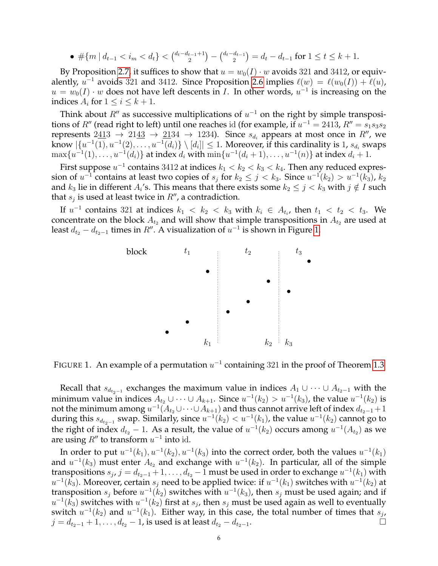• 
$$
\#\{m \mid d_{t-1} < i_m < d_t\} < \binom{d_t - d_{t-1} + 1}{2} - \binom{d_t - d_{t-1}}{2} = d_t - d_{t-1} \text{ for } 1 \le t \le k+1.
$$

By Proposition [2.7,](#page-4-2) it suffices to show that  $u = w_0(I) \cdot w$  avoids 321 and 3412, or equivalently,  $u^{-1}$  avoids 321 and 3412. Since Proposition [2.6](#page-4-0) implies  $\ell(w) = \ell(w_0(I)) + \ell(u)$ ,  $u = w_0(I) \cdot w$  does not have left descents in I. In other words,  $u^{-1}$  is increasing on the indices  $A_i$  for  $1 \leq i \leq k+1$ .

Think about  $R''$  as successive multiplications of  $u^{-1}$  on the right by simple transpositions of  $R''$  (read right to left) until one reaches id (for example, if  $u^{-1} = 2413$ ,  $R'' = s_1s_3s_2$ represents  $2\underline{41}3 \rightarrow 21\underline{43} \rightarrow \underline{21}34 \rightarrow 1234$ ). Since  $s_{d_i}$  appears at most once in  $R''$ , we know  $|\{u^{-1}(1), u^{-1}(2), \ldots, u^{-1}(d_i)\}\setminus [d_i]|\leq 1$ . Moreover, if this cardinality is 1,  $s_{d_i}$  swaps  $\max\{u^{-1}(1),\ldots,u^{-1}(d_i)\}$  at index  $d_i$  with  $\min\{u^{-1}(d_i+1),\ldots,u^{-1}(n)\}$  at index  $d_i+1$ .

First suppose  $u^{-1}$  contains 3412 at indices  $k_1 < k_2 < k_3 < k_4$ . Then any reduced expression of  $u^{-1}$  contains at least two copies of  $s_j$  for  $k_2 \leq j < k_3$ . Since  $u^{-1}(k_2) > u^{-1}(k_3)$ ,  $k_2$ and  $k_3$  lie in different  $A_i$ 's. This means that there exists some  $k_2\leq j < k_3$  with  $j\notin I$  such that  $s_j$  is used at least twice in  $R''$ , a contradiction.

If  $u^{-1}$  contains 321 at indices  $k_1 \, < \, k_2 \, < \, k_3$  with  $k_i \, \in \, A_{t_i}$ , then  $t_1 \, < \, t_2 \, < \, t_3$ . We concentrate on the block  $A_{t_2}$  and will show that simple transpositions in  $A_{t_2}$  are used at least  $d_{t_2} - d_{t_2-1}$  times in  $R''$ . A visualization of  $u^{-1}$  is shown in Figure [1.](#page-5-0)



<span id="page-5-0"></span>FIGURE 1. An example of a permutation  $u^{-1}$  containing 321 in the proof of Theorem [1.3](#page-1-0)

Recall that  $s_{d_{t_2-1}}$  exchanges the maximum value in indices  $A_1 \cup \cdots \cup A_{t_2-1}$  with the minimum value in indices  $A_{t_2} \cup \cdots \cup A_{k+1}$ . Since  $u^{-1}(k_2) > u^{-1}(k_3)$ , the value  $u^{-1}(k_2)$  is not the minimum among  $u^{-1}(A_{t_2} \cup \cdots \cup A_{k+1})$  and thus cannot arrive left of index  $d_{t_2-1}+1$ during this  $s_{d_{t_2-1}}$  swap. Similarly, since  $u^{-1}(k_2) < u^{-1}(k_1)$ , the value  $u^{-1}(k_2)$  cannot go to the right of index  $d_{t_2} - 1$ . As a result, the value of  $u^{-1}(k_2)$  occurs among  $u^{-1}(A_{t_2})$  as we are using  $R''$  to transform  $u^{-1}$  into id.

In order to put  $u^{-1}(k_1), u^{-1}(k_2), u^{-1}(k_3)$  into the correct order, both the values  $u^{-1}(k_1)$ and  $u^{-1}(k_3)$  must enter  $A_{t_2}$  and exchange with  $u^{-1}(k_2)$ . In particular, all of the simple transpositions  $s_j$ ,  $j = d_{t_2-1}+1, \ldots, d_{t_2}-1$  must be used in order to exchange  $u^{-1}(k_1)$  with  $u^{-1}(k_3)$ . Moreover, certain  $s_j$  need to be applied twice: if  $u^{-1}(k_1)$  switches with  $u^{-1}(k_2)$  at transposition  $s_j$  before  $u^{-1}(k_2)$  switches with  $u^{-1}(k_3)$ , then  $s_j$  must be used again; and if  $u^{-1}(\bar{k_3})$  switches with  $u^{-1}(k_2)$  first at  $s_j$ , then  $s_j$  must be used again as well to eventually switch  $u^{-1}(k_2)$  and  $u^{-1}(k_1)$ . Either way, in this case, the total number of times that  $s_j$ ,  $j = d_{t_2-1} + 1, \ldots, d_{t_2} - 1$ , is used is at least  $d_{t_2} - d_{t_2-1}$ .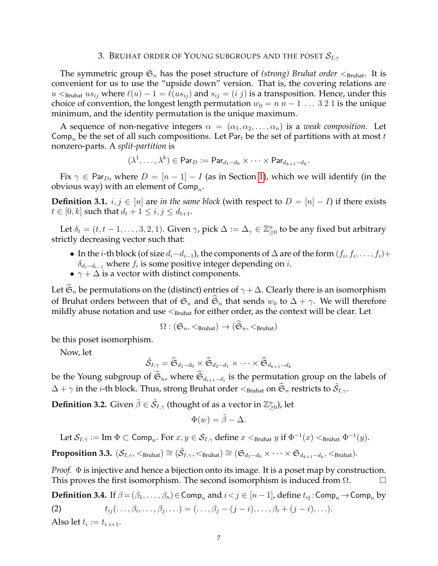#### 3. BRUHAT ORDER OF YOUNG SUBGROUPS AND THE POSET  $\mathcal{S}_{I,\gamma}$

<span id="page-6-0"></span>The symmetric group  $\mathfrak{S}_n$  has the poset structure of *(strong) Bruhat order*  $\lt_{\text{Bruhat}}$ . It is convenient for us to use the "upside down" version. That is, the covering relations are  $u \leq_{\text{Bruhat}} us_{ij}$  where  $\ell(u) - 1 = \ell(us_{ij})$  and  $s_{ij} = (i\ j)$  is a transposition. Hence, under this choice of convention, the longest length permutation  $w_0 = n n - 1 ... 3 2 1$  is the unique minimum, and the identity permutation is the unique maximum.

A sequence of non-negative integers  $\alpha = (\alpha_1, \alpha_2, \ldots, \alpha_n)$  is a *weak composition*. Let Comp<sub>n</sub> be the set of all such compositions. Let Par<sub>t</sub> be the set of partitions with at most t nonzero-parts. A *split-partition* is

$$
(\lambda^1,\ldots,\lambda^k)\in {\sf Par}_D:={\sf Par}_{d_1-d_0}\times\cdots\times {\sf Par}_{d_{k+1}-d_k}.
$$

Fix  $\gamma \in \text{Par}_D$ , where  $D = [n-1] - I$  (as in Section [1\)](#page-0-2), which we will identify (in the obvious way) with an element of  $\mathsf{Comp}_n$ .

**Definition 3.1.**  $i, j \in [n]$  are *in the same block* (with respect to  $D = [n] - I$ ) if there exists  $t \in [0, k]$  such that  $d_t + 1 \le i, j \le d_{t+1}$ .

Let  $\delta_t = (t, t-1, \ldots, 3, 2, 1)$ . Given  $\gamma$ , pick  $\Delta := \Delta_\gamma \in \mathbb{Z}_{\geq 0}^n$  to be any fixed but arbitrary strictly decreasing vector such that:

- In the *i*-th block (of size  $d_i-d_{i-1}$ ), the components of  $\Delta$  are of the form  $(f_i, f_i, \ldots, f_i)$ +  $\delta_{d_i-d_{i-1}}$  where  $f_i$  is some positive integer depending on  $i$ .
- $\gamma + \Delta$  is a vector with distinct components.

Let  $\mathfrak{S}_n$  be permutations on the (distinct) entries of  $\gamma + \Delta$ . Clearly there is an isomorphism of Bruhat orders between that of  $\mathfrak{S}_n$  and  $\widehat{\mathfrak{S}}_n$  that sends  $w_0$  to  $\Delta + \gamma$ . We will therefore mildly abuse notation and use  $\leq_{\text{Bruhat}}$  for either order, as the context will be clear. Let

$$
\Omega : (\mathfrak{S}_n, <_{\text{Bruhat}}) \to (\mathfrak{S}_n, <_{\text{Bruhat}})
$$

be this poset isomorphism.

Now, let

$$
\tilde{\mathcal{S}}_{I,\gamma} = \widehat{\mathfrak{S}}_{d_1-d_0} \times \widehat{\mathfrak{S}}_{d_2-d_1} \times \cdots \times \widehat{\mathfrak{S}}_{d_{k+1}-d_k}
$$

be the Young subgroup of  $\mathfrak{S}_n$ , where  $\mathfrak{S}_{d_{i+1}-d_i}$  is the permutation group on the labels of  $\Delta+\gamma$  in the  $i$ -th block. Thus, strong Bruhat order  $<_{\rm Bruhat}$  on  $\widehat{\mathfrak{S}}_n$  restricts to  $\tilde{\mathcal{S}}_{I,\gamma}.$ 

**Definition 3.2.** Given  $\tilde{\beta} \in \tilde{\mathcal{S}}_{I,\gamma}$  (thought of as a vector in  $\mathbb{Z}_{\geq 0}^n$ ), let

$$
\Phi(w) = \tilde{\beta} - \Delta.
$$

Let  $\mathcal{S}_{I,\gamma} := \text{Im } \Phi \subset \text{Comp}_n$ . For  $x, y \in \mathcal{S}_{I,\gamma}$  define  $x <_{\text{Bruhat }} y$  if  $\Phi^{-1}(x) <_{\text{Bruhat }} \Phi^{-1}(y)$ .

<span id="page-6-1"></span> $\textbf{Proposition 3.3.} \,\, (\mathcal{S}_{I, \gamma}, <_\text{Bruhat}) \cong (\tilde{\mathcal{S}}_{I, \gamma}, <_\text{Bruhat}) \cong (\mathfrak{S}_{d_1-d_0} \times \cdots \times \mathfrak{S}_{d_{k+1}-d_k}, <_\text{Bruhat}).$ 

*Proof.* Φ is injective and hence a bijection onto its image. It is a poset map by construction. This proves the first isomorphism. The second isomorphism is induced from  $\Omega$ .

**Definition 3.4.** If  $\beta = (\beta_1, \dots, \beta_n) \in \text{Comp}_n$  and  $i < j \in [n-1]$ , define  $t_{ij}$ : Comp<sub>n</sub>  $\rightarrow$  Comp<sub>n</sub> by (2)  $t_{ij}(\ldots,\beta_i,\ldots,\beta_j,\ldots)=(\ldots,\beta_j-(j-i),\ldots,\beta_i+(j-i),\ldots).$ 

Also let  $t_i := t_{i,i+1}.$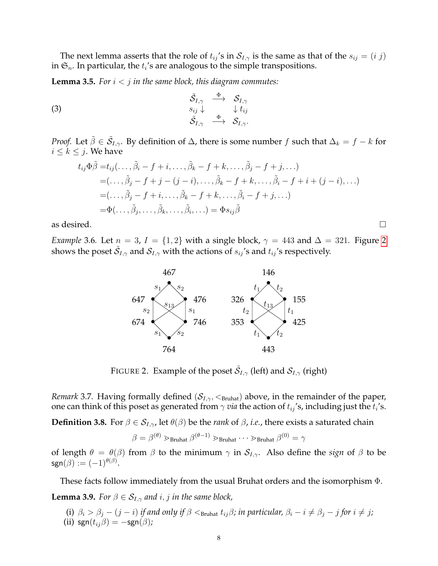The next lemma asserts that the role of  $t_{ij}$ 's in  $S_{I,\gamma}$  is the same as that of the  $s_{ij} = (i\ j)$ in  $\mathfrak{S}_n$ . In particular, the  $t_i$ 's are analogous to the simple transpositions.

<span id="page-7-2"></span>**Lemma 3.5.** For  $i < j$  in the same block, this diagram commutes:

(3) 
$$
\begin{array}{ccc}\n\tilde{S}_{I,\gamma} & \stackrel{\Phi}{\longrightarrow} & \mathcal{S}_{I,\gamma} \\
s_{ij} \downarrow & & \downarrow t_{ij} \\
\tilde{S}_{I,\gamma} & \stackrel{\Phi}{\longrightarrow} & \mathcal{S}_{I,\gamma}.\n\end{array}
$$

*Proof.* Let  $\tilde{\beta} \in \tilde{\mathcal{S}}_{I,\gamma}$ . By definition of  $\Delta$ , there is some number f such that  $\Delta_k = f - k$  for  $i \leq k \leq j$ . We have

$$
t_{ij}\Phi\tilde{\beta} = t_{ij}(\ldots, \tilde{\beta}_i - f + i, \ldots, \tilde{\beta}_k - f + k, \ldots, \tilde{\beta}_j - f + j, \ldots)
$$
  
\n
$$
= (\ldots, \tilde{\beta}_j - f + j - (j - i), \ldots, \tilde{\beta}_k - f + k, \ldots, \tilde{\beta}_i - f + i + (j - i), \ldots)
$$
  
\n
$$
= (\ldots, \tilde{\beta}_j - f + i, \ldots, \tilde{\beta}_k - f + k, \ldots, \tilde{\beta}_i - f + j, \ldots)
$$
  
\n
$$
= \Phi(\ldots, \tilde{\beta}_j, \ldots, \tilde{\beta}_k, \ldots, \tilde{\beta}_i, \ldots) = \Phi s_{ij}\tilde{\beta}
$$

as desired.  $\Box$ 

*Example* 3.6*.* Let  $n = 3$ ,  $I = \{1, 2\}$  $I = \{1, 2\}$  $I = \{1, 2\}$  with a single block,  $\gamma = 443$  and  $\Delta = 321$ . Figure 2 shows the poset  $\tilde{\mathcal{S}}_{I,\gamma}$  and  $\mathcal{S}_{I,\gamma}$  with the actions of  $s_{ij}$ 's and  $t_{ij}$ 's respectively.



<span id="page-7-0"></span>FIGURE 2. Example of the poset  $\tilde{\mathcal{S}}_{I,\gamma}$  (left) and  $\mathcal{S}_{I,\gamma}$  (right)

*Remark* 3.7. Having formally defined  $(S_{I,\gamma}, <_{Bruhat})$  above, in the remainder of the paper, one can think of this poset as generated from  $\gamma$  *via* the action of  $t_{ij}$ 's, including just the  $t_i$ 's.

<span id="page-7-1"></span>**Definition 3.8.** For  $\beta \in S_{I,\gamma}$ , let  $\theta(\beta)$  be the *rank* of  $\beta$ , *i.e.*, there exists a saturated chain

$$
\beta = \beta^{(\theta)} \gtrdot_{\text{Bruhat}} \beta^{(\theta - 1)} \gtrdot_{\text{Bruhat}} \cdots \gtrdot_{\text{Bruhat}} \beta^{(0)} = \gamma
$$

of length  $\theta = \theta(\beta)$  from  $\beta$  to the minimum  $\gamma$  in  $S_{I,\gamma}$ . Also define the *sign* of  $\beta$  to be  $\mathsf{sgn}(\beta) := (-1)^{\theta(\beta)}.$ 

<span id="page-7-3"></span>These facts follow immediately from the usual Bruhat orders and the isomorphism Φ. **Lemma 3.9.** *For*  $\beta \in S_{I,\gamma}$  *and i*, *j in the same block,* 

(i)  $\beta_i > \beta_j - (j - i)$  *if and only if*  $\beta$  < <sub>Bruhat</sub>  $t_{ij}\beta$ *; in particular,*  $\beta_i - i \neq \beta_j - j$  *for*  $i \neq j$ *;* (ii) sgn $(t_{ij}\beta) = -sgn(\beta)$ ;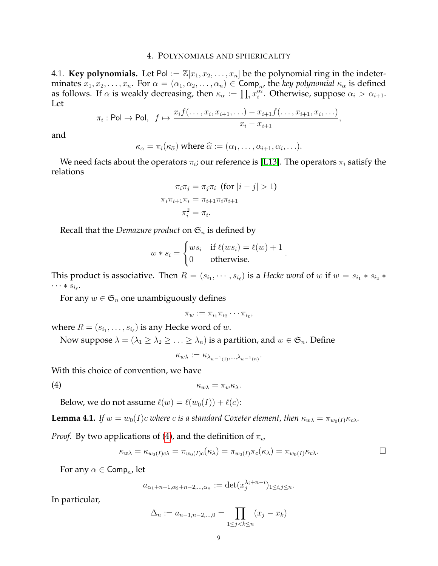# 4. POLYNOMIALS AND SPHERICALITY

<span id="page-8-0"></span>4.1. **Key polynomials.** Let Pol :=  $\mathbb{Z}[x_1, x_2, \ldots, x_n]$  be the polynomial ring in the indeterminates  $x_1, x_2, \ldots, x_n$ . For  $\alpha = (\alpha_1, \alpha_2, \ldots, \alpha_n) \in \textsf{Comp}_n$ , the *key polynomial*  $\kappa_\alpha$  is defined as follows. If  $\alpha$  is weakly decreasing, then  $\kappa_{\alpha} := \prod_i x_i^{\alpha_i}$ . Otherwise, suppose  $\alpha_i > \alpha_{i+1}$ . Let

$$
\pi_i: \mathsf{Pol} \to \mathsf{Pol}, \ \ f \mapsto \frac{x_i f(\ldots, x_i, x_{i+1}, \ldots) - x_{i+1} f(\ldots, x_{i+1}, x_i, \ldots)}{x_i - x_{i+1}},
$$

and

$$
\kappa_{\alpha} = \pi_i(\kappa_{\widehat{\alpha}})
$$
 where  $\widehat{\alpha} := (\alpha_1, \ldots, \alpha_{i+1}, \alpha_i, \ldots).$ 

We need facts about the operators  $\pi_i$ ; our reference is [\[L13\]](#page-29-7). The operators  $\pi_i$  satisfy the relations

$$
\pi_i \pi_j = \pi_j \pi_i \text{ (for } |i - j| > 1)
$$

$$
\pi_i \pi_{i+1} \pi_i = \pi_{i+1} \pi_i \pi_{i+1}
$$

$$
\pi_i^2 = \pi_i.
$$

Recall that the *Demazure product* on  $\mathfrak{S}_n$  is defined by

$$
w * s_i = \begin{cases} ws_i & \text{if } \ell(ws_i) = \ell(w) + 1 \\ 0 & \text{otherwise.} \end{cases}.
$$

This product is associative. Then  $R = (s_{i_1}, \cdots, s_{i_\ell})$  is a *Hecke word* of w if  $w = s_{i_1} * s_{i_2} *$  $\cdots * s_{i_\ell}$ .

For any  $w \in \mathfrak{S}_n$  one unambiguously defines

$$
\pi_w := \pi_{i_1} \pi_{i_2} \cdots \pi_{i_\ell},
$$

where  $R = (s_{i_1}, \ldots, s_{i_\ell})$  is any Hecke word of  $w.$ 

Now suppose  $\lambda = (\lambda_1 \geq \lambda_2 \geq \ldots \geq \lambda_n)$  is a partition, and  $w \in \mathfrak{S}_n$ . Define

$$
\kappa_{w\lambda}:=\kappa_{\lambda_{w^{-1}(1)},\dots,\lambda_{w^{-1}(n)}}.
$$

With this choice of convention, we have

(4)  $\kappa_{w\lambda} = \pi_w \kappa_{\lambda}$ .

<span id="page-8-1"></span>
$$
w \wedge w \wedge w
$$

Below, we do not assume  $\ell(w) = \ell(w_0(I)) + \ell(c)$ :

**Lemma 4.1.** *If*  $w = w_0(I)c$  *where c is a standard Coxeter element, then*  $\kappa_{w\lambda} = \pi_{w_0(I)}\kappa_{c\lambda}$ *.* 

*Proof.* By two applications of [\(4\)](#page-8-1), and the definition of  $\pi_w$ 

$$
\kappa_{w\lambda} = \kappa_{w_0(I)c\lambda} = \pi_{w_0(I)c}(\kappa_{\lambda}) = \pi_{w_0(I)}\pi_c(\kappa_{\lambda}) = \pi_{w_0(I)}\kappa_{c\lambda}.
$$

For any  $\alpha \in \textsf{Comp}_n$ , let

$$
a_{\alpha_1+n-1,\alpha_2+n-2,\dots,\alpha_n} := \det(x_j^{\lambda_i+n-i})_{1 \le i,j \le n}.
$$

In particular,

$$
\Delta_n := a_{n-1,n-2,\dots,0} = \prod_{1 \le j < k \le n} (x_j - x_k)
$$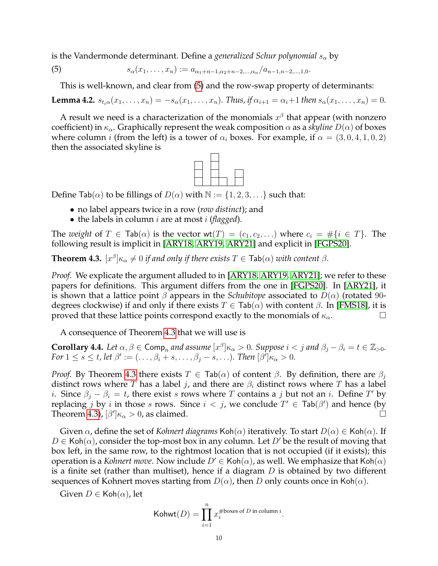is the Vandermonde determinant. Define a *generalized Schur polynomial*  $s_{\alpha}$  by

(5) 
$$
s_{\alpha}(x_1,\ldots,x_n) := a_{\alpha_1+n-1,\alpha_2+n-2,\ldots,\alpha_n}/a_{n-1,n-2,\ldots,1,0}.
$$

<span id="page-9-0"></span>This is well-known, and clear from [\(5\)](#page-9-0) and the row-swap property of determinants:

<span id="page-9-2"></span>**Lemma 4.2.**  $s_{t_i\alpha}(x_1, \ldots, x_n) = -s_{\alpha}(x_1, \ldots, x_n)$ . Thus, if  $\alpha_{i+1} = \alpha_i + 1$  then  $s_{\alpha}(x_1, \ldots, x_n) = 0$ .

A result we need is a characterization of the monomials  $x^{\beta}$  that appear (with nonzero coefficient) in  $\kappa_{\alpha}$ . Graphically represent the weak composition  $\alpha$  as a *skyline*  $D(\alpha)$  of boxes where column *i* (from the left) is a tower of  $\alpha_i$  boxes. For example, if  $\alpha = (3, 0, 4, 1, 0, 2)$ then the associated skyline is



Define Tab( $\alpha$ ) to be fillings of  $D(\alpha)$  with  $\mathbb{N} := \{1, 2, 3, \ldots\}$  such that:

- no label appears twice in a row (*row distinct*); and
- the labels in column i are at most i (*flagged*).

The *weight* of  $T \in \text{Tab}(\alpha)$  is the vector  $wt(T) = (c_1, c_2, \ldots)$  where  $c_i = \#\{i \in T\}$ . The following result is implicit in [\[ARY18,](#page-29-8) [ARY19,](#page-29-9) [ARY21\]](#page-29-10) and explicit in [\[FGPS20\]](#page-29-11).

<span id="page-9-1"></span>**Theorem 4.3.**  $[x^{\beta}] \kappa_{\alpha} \neq 0$  if and only if there exists  $T \in \textsf{Tab}(\alpha)$  with content  $\beta$ .

*Proof.* We explicate the argument alluded to in [\[ARY18,](#page-29-8) [ARY19,](#page-29-9) [ARY21\]](#page-29-10); we refer to these papers for definitions. This argument differs from the one in [\[FGPS20\]](#page-29-11). In [\[ARY21\]](#page-29-10), it is shown that a lattice point  $\beta$  appears in the *Schubitope* associated to  $D(\alpha)$  (rotated 90degrees clockwise) if and only if there exists  $T \in \text{Tab}(\alpha)$  with content  $\beta$ . In [\[FMS18\]](#page-29-12), it is proved that these lattice points correspond exactly to the monomials of  $\kappa_{\alpha}$ .

A consequence of Theorem [4.3](#page-9-1) that we will use is

<span id="page-9-3"></span>**Corollary 4.4.** Let  $\alpha, \beta \in \textsf{Comp}_n$  and assume  $[x^{\beta}] \kappa_\alpha > 0$ . Suppose  $i < j$  and  $\beta_j - \beta_i = t \in \mathbb{Z}_{>0}$ . *For*  $1 \leq s \leq t$ , let  $\beta' := (\ldots, \beta_i + s, \ldots, \beta_j - s, \ldots)$ *. Then*  $[\beta']_{\kappa_\alpha} > 0$ *.* 

*Proof.* By Theorem [4.3](#page-9-1) there exists  $T \in \text{Tab}(\alpha)$  of content  $\beta$ . By definition, there are  $\beta_i$ distinct rows where T has a label j, and there are  $\beta_i$  distinct rows where T has a label *i*. Since  $\beta_j - \beta_i = t$ , there exist s rows where T contains a j but not an *i*. Define T' by replacing j by i in those s rows. Since  $i < j$ , we conclude  $T' \in \text{Tab}(\beta')$  and hence (by Theorem [4.3\)](#page-9-1),  $[\beta']\kappa_\alpha > 0$ , as claimed.

Given  $\alpha$ , define the set of *Kohnert diagrams* Koh( $\alpha$ ) iteratively. To start  $D(\alpha) \in$  Koh( $\alpha$ ). If  $D \in \text{Koh}(\alpha)$ , consider the top-most box in any column. Let  $D'$  be the result of moving that box left, in the same row, to the rightmost location that is not occupied (if it exists); this operation is a *Kohnert move*. Now include  $D' \in \text{Koh}(\alpha)$ , as well. We emphasize that  $\text{Koh}(\alpha)$ is a finite set (rather than multiset), hence if a diagram  $D$  is obtained by two different sequences of Kohnert moves starting from  $D(\alpha)$ , then D only counts once in Koh( $\alpha$ ).

Given  $D \in \mathsf{Koh}(\alpha)$ , let

Kohwt
$$
(D)
$$
 =  $\prod_{i=1}^{n} x_i^{\# \text{boxes of } D \text{ in column } i}$ .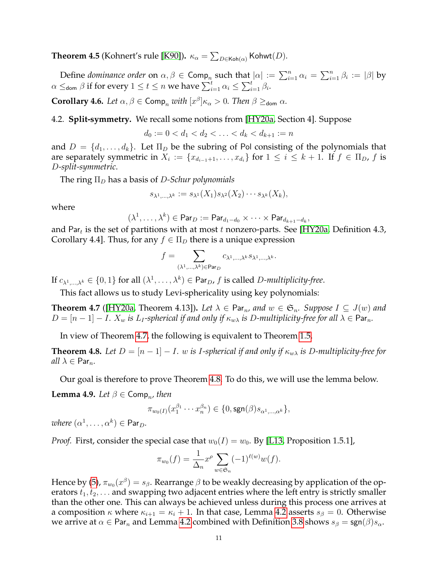<span id="page-10-4"></span>**Theorem 4.5** (Kohnert's rule [\[K90\]](#page-29-13)).  $\kappa_{\alpha} = \sum_{D \in \mathsf{Koh}(\alpha)} \mathsf{Kohwt}(D)$ .

Define *dominance order* on  $\alpha, \beta \in \textsf{Comp}_n$  such that  $|\alpha| := \sum_{i=1}^n \alpha_i = \sum_{i=1}^n \beta_i := |\beta|$  by  $\alpha \leq_{\mathsf{dom}} \beta$  if for every  $1 \leq t \leq n$  we have  $\sum_{i=1}^t \alpha_i \leq \sum_{i=1}^t \beta_i.$ 

<span id="page-10-3"></span>**Corollary 4.6.** *Let*  $\alpha, \beta \in \text{Comp}_n$  *with*  $[x^{\beta}] \kappa_{\alpha} > 0$ *. Then*  $\beta \geq_{\text{dom}} \alpha$ *.* 

4.2. **Split-symmetry.** We recall some notions from [\[HY20a,](#page-29-0) Section 4]. Suppose

$$
d_0 := 0 < d_1 < d_2 < \ldots < d_k < d_{k+1} := n
$$

and  $D = \{d_1, \ldots, d_k\}$ . Let  $\Pi_D$  be the subring of Pol consisting of the polynomials that are separately symmetric in  $X_i := \{x_{d_{i-1}+1}, \ldots, x_{d_i}\}$  for  $1 \leq i \leq k+1$ . If  $f \in \Pi_D$ ,  $f$  is D*-split-symmetric*.

The ring  $\Pi_D$  has a basis of *D-Schur polynomials* 

$$
s_{\lambda^1,\dots,\lambda^k} := s_{\lambda^1}(X_1)s_{\lambda^2}(X_2)\cdots s_{\lambda^k}(X_k),
$$

where

$$
(\lambda^1,\ldots,\lambda^k)\in {\sf Par}_D:={\sf Par}_{d_1-d_0}\times\cdots\times {\sf Par}_{d_{k+1}-d_k},
$$

and Par $_t$  is the set of partitions with at most  $t$  nonzero-parts. See [\[HY20a,](#page-29-0) Definition 4.3, Corollary 4.4]. Thus, for any  $f \in \Pi_D$  there is a unique expression

$$
f = \sum_{(\lambda^1,\ldots,\lambda^k) \in \text{Par}_D} c_{\lambda^1,\ldots,\lambda^k} s_{\lambda^1,\ldots,\lambda^k}.
$$

If  $c_{\lambda^1,\dots,\lambda^k} \in \{0,1\}$  for all  $(\lambda^1,\dots,\lambda^k) \in \mathsf{Par}_D$ , f is called D-multiplicity-free.

This fact allows us to study Levi-sphericality using key polynomials:

<span id="page-10-1"></span>**Theorem 4.7** ([\[HY20a,](#page-29-0) Theorem 4.13]). Let  $\lambda \in \text{Par}_n$ , and  $w \in \mathfrak{S}_n$ . Suppose  $I \subseteq J(w)$  and  $D = [n-1] - I$ .  $X_w$  *is*  $L_I$ -spherical if and only if  $\kappa_{w\lambda}$  *is* D-multiplicity-free for all  $\lambda \in \text{Par}_n$ .

In view of Theorem [4.7,](#page-10-1) the following is equivalent to Theorem [1.5.](#page-1-1)

<span id="page-10-0"></span>**Theorem 4.8.** Let  $D = [n-1] - I$ . w is I-spherical if and only if  $\kappa_{w\lambda}$  is D-multiplicity-free for *all*  $\lambda \in \text{Par}_n$ .

Our goal is therefore to prove Theorem [4.8.](#page-10-0) To do this, we will use the lemma below.

<span id="page-10-2"></span>**Lemma 4.9.** *Let*  $\beta \in \textsf{Comp}_n$ , *then* 

$$
\pi_{w_0(I)}(x_1^{\beta_1}\cdots x_n^{\beta_n}) \in \{0, \text{sgn}(\beta)s_{\alpha^1,\dots,\alpha^k}\},
$$

 $where ( \alpha^1, \ldots, \alpha^k ) \in \mathsf{Par}_D.$ 

*Proof.* First, consider the special case that  $w_0(I) = w_0$ . By [\[L13,](#page-29-7) Proposition 1.5.1],

$$
\pi_{w_0}(f) = \frac{1}{\Delta_n} x^{\rho} \sum_{w \in \mathfrak{S}_n} (-1)^{\ell(w)} w(f).
$$

Hence by [\(5\)](#page-9-0),  $\pi_{w_0}(x^\beta)=s_\beta.$  Rearrange  $\beta$  to be weakly decreasing by application of the operators  $t_1, t_2, \ldots$  and swapping two adjacent entries where the left entry is strictly smaller than the other one. This can always be achieved unless during this process one arrives at a composition  $\kappa$  where  $\kappa_{i+1} = \kappa_i + 1$ . In that case, Lemma [4.2](#page-9-2) asserts  $s_\beta = 0$ . Otherwise we arrive at  $\alpha \in \text{Par}_n$  and Lemma [4.2](#page-9-2) combined with Definition [3.8](#page-7-1) shows  $s_\beta = \text{sgn}(\beta)s_\alpha$ .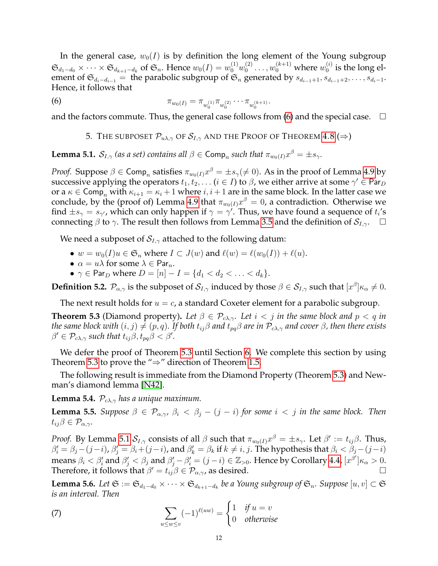In the general case,  $w_0(I)$  is by definition the long element of the Young subgroup  $\mathfrak{S}_{d_1-d_0}\times\cdots\times\mathfrak{S}_{d_{k+1}-d_k}$  of  $\mathfrak{S}_n$ . Hence  $w_0(I)=w_0^{(1)}w_0^{(2)}$  $v_0^{(2)} \ldots, w_0^{(k+1)}$  where  $w_0^{(i)}$  $_0^{(i)}$  is the long element of  $\mathfrak{S}_{d_i-d_{i-1}}$  = the parabolic subgroup of  $\mathfrak{S}_n$  generated by  $s_{d_{i-1}+1}, s_{d_{i-1}+2}, \ldots, s_{d_i-1}$ . Hence, it follows that

(6) 
$$
\pi_{w_0(I)} = \pi_{w_0^{(1)}} \pi_{w_0^{(2)}} \cdots \pi_{w_0^{(k+1)}}.
$$

<span id="page-11-0"></span>and the factors commute. Thus, the general case follows from  $(6)$  and the special case.  $\Box$ 

<span id="page-11-2"></span>5. THE SUBPOSET  $\mathcal{P}_{u\lambda,\gamma}$  of  $\mathcal{S}_{I,\gamma}$  and the Proof of Theorem [4.8](#page-10-0) ( $\Rightarrow$ )

<span id="page-11-3"></span>**Lemma 5.1.**  $S_{I,\gamma}$  (as a set) contains all  $\beta \in \textsf{Comp}_n$  such that  $\pi_{w_0(I)} x^{\beta} = \pm s_{\gamma}$ .

*Proof.* Suppose  $\beta \in \mathsf{Comp}_n$  satisfies  $\pi_{w_0(I)} x^\beta = \pm s_\gamma (\neq 0).$  As in the proof of Lemma [4.9](#page-10-2) by successive applying the operators  $t_1, t_2, \ldots$   $(i \in I)$  to  $\beta$ , we either arrive at some  $\gamma' \in \mathsf{Par}_D$ or a  $\kappa \in \text{Comp}_n$  with  $\kappa_{i+1} = \kappa_i + 1$  where  $i, i+1$  are in the same block. In the latter case we conclude, by the (proof of) Lemma [4.9](#page-10-2) that  $\pi_{w_0(I)}x^{\beta} = 0$ , a contradiction. Otherwise we find  $\pm s_{\gamma} = s_{\gamma'}$ , which can only happen if  $\gamma = \gamma'$ . Thus, we have found a sequence of  $t_i$ 's connecting  $\beta$  to  $\gamma$ . The result then follows from Lemma [3.5](#page-7-2) and the definition of  $\mathcal{S}_{I,\gamma}$ .  $\Box$ 

We need a subposet of  $\mathcal{S}_{I,\gamma}$  attached to the following datum:

- $w = w_0(I)u \in \mathfrak{S}_n$  where  $I \subset J(w)$  and  $\ell(w) = \ell(w_0(I)) + \ell(u)$ .
- $\alpha = u\lambda$  for some  $\lambda \in \text{Par}_n$ .
- $\gamma \in \text{Par}_D$  where  $D = [n] I = \{d_1 < d_2 < \ldots < d_k\}.$

**Definition 5.2.**  $\mathcal{P}_{\alpha,\gamma}$  is the subposet of  $\mathcal{S}_{I,\gamma}$  induced by those  $\beta \in \mathcal{S}_{I,\gamma}$  such that  $[x^{\beta}] \kappa_{\alpha} \neq 0$ .

The next result holds for  $u = c$ , a standard Coxeter element for a parabolic subgroup.

<span id="page-11-1"></span>**Theorem 5.3** (Diamond property). Let  $\beta \in \mathcal{P}_{c\lambda,\gamma}$ . Let  $i < j$  in the same block and  $p < q$  in *the same block with*  $(i, j) \neq (p, q)$ *. If both*  $t_{ij}\beta$  *and*  $t_{pq}\beta$  *are in*  $\mathcal{P}_{c\lambda,\gamma}$  *and cover*  $\beta$ *, then there exists*  $\beta' \in \mathcal{P}_{c\lambda,\gamma}$  such that  $t_{ij}\beta, t_{pq}\beta < \beta'.$ 

We defer the proof of Theorem [5.3](#page-11-1) until Section [6.](#page-13-0) We complete this section by using Theorem [5.3](#page-11-1) to prove the " $\Rightarrow$ " direction of Theorem [1.5.](#page-1-1)

The following result is immediate from the Diamond Property (Theorem [5.3\)](#page-11-1) and Newman's diamond lemma [\[N42\]](#page-29-14).

<span id="page-11-4"></span>**Lemma 5.4.**  $\mathcal{P}_{c\lambda,\gamma}$  *has a unique maximum.* 

<span id="page-11-5"></span>**Lemma 5.5.** *Suppose*  $\beta \in \mathcal{P}_{\alpha,\gamma}, \beta_i < \beta_j - (j - i)$  *for some*  $i < j$  *in the same block. Then*  $t_{ij}\beta\in\mathcal{P}_{\alpha,\gamma}$ .

*Proof.* By Lemma [5.1](#page-11-3)  $S_{I,\gamma}$  consists of all  $\beta$  such that  $\pi_{w_0(I)} x^\beta = \pm s_\gamma$ . Let  $\beta':=t_{ij}\beta$ . Thus,  $\beta_i'=\beta_j-(j-i)$ ,  $\beta_j'=\beta_i+(j-i)$ , and  $\beta_k'=\beta_k$  if  $k\neq i,j$ . The hypothesis that  $\beta_i<\beta_j-(j-i)$ means  $\beta_i < \beta'_i$  and  $\beta'_j < \beta_j$  and  $\beta'_j - \beta'_i = (j - i) \in \mathbb{Z}_{>0}$ . Hence by Corollary [4.4,](#page-9-3)  $[x^{\beta'}] \kappa_\alpha > 0$ . Therefore, it follows that  $\beta' = t_{ij}\beta \in \mathcal{P}_{\alpha,\gamma}$ , as desired.

**Lemma 5.6.** Let  $\mathfrak{S} := \mathfrak{S}_{d_1-d_0} \times \cdots \times \mathfrak{S}_{d_{k+1}-d_k}$  be a Young subgroup of  $\mathfrak{S}_n$ . Suppose  $[u,v] \subset \mathfrak{S}$ *is an interval. Then*

<span id="page-11-6"></span>(7) 
$$
\sum_{u \le w \le v} (-1)^{\ell(uw)} = \begin{cases} 1 & \text{if } u = v \\ 0 & \text{otherwise} \end{cases}
$$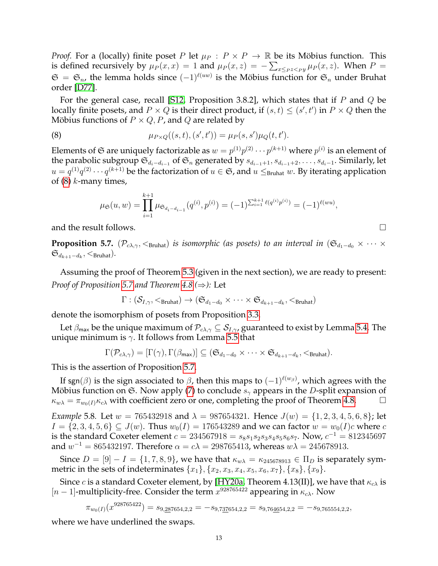*Proof.* For a (locally) finite poset P let  $\mu_P$  :  $P \times P \to \mathbb{R}$  be its Möbius function. This is defined recursively by  $\mu_P(x, x) = 1$  and  $\mu_P(x, z) = -\sum_{x \leq_P z <_P y} \mu_P(x, z)$ . When  $P =$  $\mathfrak{S} = \mathfrak{S}_n$ , the lemma holds since  $(-1)^{\ell(uw)}$  is the Möbius function for  $\mathfrak{S}_n$  under Bruhat order [\[D77\]](#page-29-3).

For the general case, recall [\[S12,](#page-29-15) Proposition 3.8.2], which states that if P and Q be locally finite posets, and  $P \times Q$  is their direct product, if  $(s, t) \leq (s', t')$  in  $P \times Q$  then the Möbius functions of  $P \times Q$ , P, and Q are related by

(8) 
$$
\mu_{P\times Q}((s,t),(s',t')) = \mu_P(s,s')\mu_Q(t,t').
$$

Elements of  $\mathfrak S$  are uniquely factorizable as  $w=p^{(1)}p^{(2)}\cdots p^{(k+1)}$  where  $p^{(i)}$  is an element of the parabolic subgroup  $\mathfrak{S}_{d_i-d_{i-1}}$  of  $\mathfrak{S}_n$  generated by  $s_{d_{i-1}+1}, s_{d_{i-1}+2}, \ldots, s_{d_i-1}$ . Similarly, let  $u=q^{(1)}q^{(2)}\cdots q^{(k+1)}$  be the factorization of  $u\in\mathfrak{S}$ , and  $u\leq_{\rm Bruhat} w.$  By iterating application of  $(8)$  k-many times,

<span id="page-12-1"></span>
$$
\mu_{\mathfrak{S}}(u,w) = \prod_{i=1}^{k+1} \mu_{\mathfrak{S}_{d_i - d_{i-1}}}(q^{(i)}, p^{(i)}) = (-1)^{\sum_{i=1}^{k+1} \ell(q^{(i)} p^{(i)})} = (-1)^{\ell(wu)},
$$

and the result follows.

<span id="page-12-0"></span>**Proposition 5.7.** ( $\mathcal{P}_{c\lambda,\gamma}$ ,  $\lt_{\text{Bruhat}}$ ) *is isomorphic (as posets) to an interval in* ( $\mathfrak{S}_{d_1-d_0} \times \cdots \times$  $\mathfrak{S}_{d_{k+1}-d_k}, <_\text{Bruhat}$ ).

Assuming the proof of Theorem [5.3](#page-11-1) (given in the next section), we are ready to present: *Proof of Proposition [5.7](#page-12-0) and Theorem [4.8](#page-10-0) (*⇒*):* Let

$$
\Gamma: (\mathcal{S}_{I,\gamma},<_{\operatorname{Bruhat}}) \rightarrow (\mathfrak{S}_{d_1-d_0} \times \cdots \times \mathfrak{S}_{d_{k+1}-d_k},<_{\operatorname{Bruhat}})
$$

denote the isomorphism of posets from Proposition [3.3.](#page-6-1)

Let  $\beta_{\text{max}}$  be the unique maximum of  $\mathcal{P}_{c\lambda,\gamma} \subseteq \mathcal{S}_{I,\gamma}$ , guaranteed to exist by Lemma [5.4.](#page-11-4) The unique minimum is  $\gamma$ . It follows from Lemma [5.5](#page-11-5) that

$$
\Gamma(\mathcal{P}_{c\lambda,\gamma})=[\Gamma(\gamma),\Gamma(\beta_{\mathsf{max}})]\subseteq (\mathfrak{S}_{d_1-d_0}\times\cdots\times\mathfrak{S}_{d_{k+1}-d_k},<_{\mathrm{Bruhat}}).
$$

This is the assertion of Proposition [5.7.](#page-12-0)

If sgn $(\beta)$  is the sign associated to  $\beta$ , then this maps to  $(-1)^{\ell(w_\beta)}$ , which agrees with the Möbius function on  $\mathfrak{S}$ . Now apply [\(7\)](#page-11-6) to conclude  $s_{\gamma}$  appears in the D-split expansion of  $\kappa_{w\lambda} = \pi_{w_0(I)} \kappa_{c\lambda}$  with coefficient zero or one, completing the proof of Theorem [4.8.](#page-10-0)

*Example* 5.8*.* Let  $w = 765432918$  and  $\lambda = 987654321$ . Hence  $J(w) = \{1, 2, 3, 4, 5, 6, 8\}$ ; let  $I = \{2, 3, 4, 5, 6\} \subseteq J(w)$ . Thus  $w_0(I) = 176543289$  and we can factor  $w = w_0(I)c$  where c is the standard Coxeter element  $c = 234567918 = s_8s_1s_2s_3s_4s_5s_6s_7$ . Now,  $c^{-1} = 812345697$ and  $w^{-1} = 865432197$ . Therefore  $\alpha = c\lambda = 298765413$ , whereas  $w\lambda = 245678913$ .

Since  $D = [9] - I = \{1, 7, 8, 9\}$ , we have that  $\kappa_{w\lambda} = \kappa_{245678913} \in \Pi_D$  is separately symmetric in the sets of indeterminates  $\{x_1\}, \{x_2, x_3, x_4, x_5, x_6, x_7\}, \{x_8\}, \{x_9\}.$ 

Since c is a standard Coxeter element, by [\[HY20a,](#page-29-0) Theorem 4.13(II)], we have that  $\kappa_{c\lambda}$  is [ $n-1$ ]-multiplicity-free. Consider the term  $x^{928765422}$  appearing in  $\kappa_{c\lambda}$ . Now

$$
\pi_{w_0(I)}(x^{928765422}) = s_{9,287654,2,2} = -s_{9,737654,2,2} = s_{9,764654,2,2} = -s_{9,765554,2,2},
$$

where we have underlined the swaps.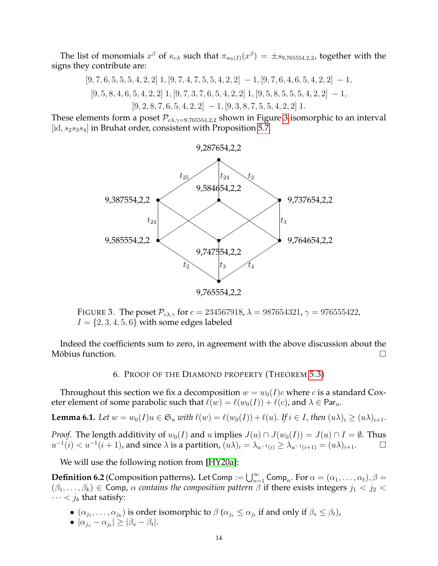The list of monomials  $x^\beta$  of  $\kappa_{c\lambda}$  such that  $\pi_{w_0(I)}(x^\beta) = \pm s_{9,765554,2,2}$ , together with the signs they contribute are:

$$
[9, 7, 6, 5, 5, 5, 4, 2, 2]
$$
 1, 
$$
[9, 7, 4, 7, 5, 5, 4, 2, 2]
$$
 - 1, 
$$
[9, 7, 6, 4, 6, 5, 4, 2, 2]
$$
 - 1, 
$$
[9, 5, 8, 4, 6, 5, 4, 2, 2]
$$
 1, 
$$
[9, 7, 8, 7, 6, 5, 4, 2, 2]
$$
 1, 
$$
[9, 2, 8, 7, 6, 5, 4, 2, 2]
$$
 - 1, 
$$
[9, 3, 8, 7, 5, 5, 4, 2, 2]
$$
 1.

These elements form a poset  $\mathcal{P}_{c\lambda,\gamma=9,765554,2,2}$  shown in Figure [3](#page-13-1) isomorphic to an interval [id,  $s_2s_3s_4$ ] in Bruhat order, consistent with Proposition [5.7.](#page-12-0)



<span id="page-13-1"></span>FIGURE 3. The poset  $\mathcal{P}_{c\lambda,\gamma}$  for  $c = 234567918$ ,  $\lambda = 987654321$ ,  $\gamma = 976555422$ ,  $I = \{2, 3, 4, 5, 6\}$  with some edges labeled

<span id="page-13-0"></span>Indeed the coefficients sum to zero, in agreement with the above discussion about the Möbius function.  $\Box$ 

# 6. PROOF OF THE DIAMOND PROPERTY (THEOREM [5.3\)](#page-11-1)

Throughout this section we fix a decomposition  $w = w_0(I)c$  where c is a standard Coxeter element of some parabolic such that  $\ell(w) = \ell(w_0(I)) + \ell(c)$ , and  $\lambda \in \text{Par}_n$ .

<span id="page-13-2"></span>**Lemma 6.1.** *Let*  $w = w_0(I)u \in \mathfrak{S}_n$  *with*  $\ell(w) = \ell(w_0(I)) + \ell(u)$ *.* If  $i \in I$ *, then*  $(u\lambda)_i \geq (u\lambda)_{i+1}$ *.* 

*Proof.* The length additivity of  $w_0(I)$  and u implies  $J(u) \cap J(w_0(I)) = J(u) \cap I = \emptyset$ . Thus  $u^{-1}(i) < u^{-1}(i+1)$ , and since  $\lambda$  is a partition,  $(u\lambda)_i = \lambda_{u^{-1}(i)} \ge \lambda_{u^{-1}(i+1)} = (u\lambda)_{i+1}$ .

We will use the following notion from [\[HY20a\]](#page-29-0):

**Definition 6.2** (Composition patterns). Let Comp :=  $\bigcup_{n=1}^{\infty}$  Comp<sub>n</sub>. For  $\alpha = (\alpha_1, \dots, \alpha_\ell), \beta =$  $(\beta_1,\ldots,\beta_k)\in \mathsf{Comp}, \alpha$  *contains the composition pattern*  $\beta$  if there exists integers  $j_1 < j_2 <$  $\cdots < j_k$  that satisfy:

- $\bullet$   $(\alpha_{j_1}, \ldots, \alpha_{j_k})$  is order isomorphic to  $\beta$   $(\alpha_{j_s} \leq \alpha_{j_t}$  if and only if  $\beta_s \leq \beta_t)$ ,
- $\bullet \, |\alpha_{j_s} \alpha_{j_t}| \geq |\beta_s \beta_t|.$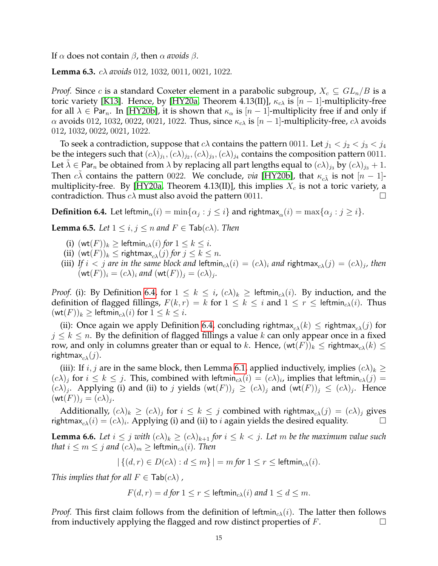If α does not contain β, then α *avoids* β.

<span id="page-14-1"></span>**Lemma 6.3.** cλ *avoids* 012*,* 1032*,* 0011*,* 0021*,* 1022*.*

*Proof.* Since c is a standard Coxeter element in a parabolic subgroup,  $X_c \subseteq GL_n/B$  is a toric variety [\[K13\]](#page-29-16). Hence, by [\[HY20a,](#page-29-0) Theorem 4.13(II)],  $\kappa_{c\lambda}$  is [n – 1]-multiplicity-free for all  $\lambda \in \text{Par}_n$ . In [\[HY20b\]](#page-29-17), it is shown that  $\kappa_\alpha$  is  $[n-1]$ -multiplicity free if and only if  $α$  avoids 012, 1032, 0022, 0021, 1022. Thus, since  $κ<sub>αλ</sub>$  is  $[n-1]$ -multiplicity-free,  $cλ$  avoids 012, 1032, 0022, 0021, 1022.

To seek a contradiction, suppose that  $c\lambda$  contains the pattern 0011. Let  $j_1 < j_2 < j_3 < j_4$ be the integers such that  $(c\lambda)_{j_1}, (c\lambda)_{j_2}, (c\lambda)_{j_3}, (c\lambda)_{j_4}$  contains the composition pattern 0011. Let  $\tilde{\lambda} \in \text{Par}_n$  be obtained from  $\lambda$  by replacing all part lengths equal to  $(c\lambda)_{j_3}$  by  $(c\lambda)_{j_3} + 1$ . Then  $c\tilde{\lambda}$  contains the pattern 0022. We conclude, *via* [\[HY20b\]](#page-29-17), that  $\kappa_{c\tilde{\lambda}}$  is not [n – 1]-multiplicity-free. By [\[HY20a,](#page-29-0) Theorem 4.13(II)], this implies  $X_c$  is not a toric variety, a contradiction. Thus  $c\lambda$  must also avoid the pattern 0011.

<span id="page-14-0"></span>**Definition 6.4.** Let leftmin $_{\alpha}(i) = \min\{\alpha_j : j \leq i\}$  and rightmax $_{\alpha}(i) = \max\{\alpha_j : j \geq i\}.$ 

<span id="page-14-2"></span>**Lemma 6.5.** *Let*  $1 \le i, j \le n$  *and*  $F \in \text{Tab}(c\lambda)$ *. Then* 

- (i)  $(\text{wt}(F))_k \geq \text{leftmin}_{c\lambda}(i)$  *for*  $1 \leq k \leq i$ *.*
- (ii)  $(\text{wt}(F))_k \leq \text{rightmax}_{c\lambda}(j)$  *for*  $j \leq k \leq n$ *.*
- (iii) If  $i < j$  are in the same block and leftmin<sub>c $\lambda(i) = (c\lambda)_i$  and rightmax $_{c\lambda}(j) = (c\lambda)_j$ , then</sub>  $(\mathsf{wt}(F))_i = (c\lambda)_i$  and  $(\mathsf{wt}(F))_j = (c\lambda)_j$ .

*Proof.* (i): By Definition [6.4,](#page-14-0) for  $1 \leq k \leq i$ ,  $(c\lambda)_k \geq$  leftmin<sub>c $\lambda(i)$ </sub>. By induction, and the definition of flagged fillings,  $F(k, r) = k$  for  $1 \le k \le i$  and  $1 \le r \le \text{leftmin}_{\alpha \lambda}(i)$ . Thus  $(\text{wt}(F))_k \geq \text{leftmin}_{c\lambda}(i)$  for  $1 \leq k \leq i$ .

(ii): Once again we apply Definition [6.4,](#page-14-0) concluding rightmax<sub>cλ</sub>(k)  $\leq$  rightmax<sub>cλ</sub>(j) for  $j \leq k \leq n$ . By the definition of flagged fillings a value k can only appear once in a fixed row, and only in columns greater than or equal to k. Hence,  $(\text{wt}(F))_k \leq \text{rightmax}_{c\lambda}(k) \leq$ rightmax<sub>c $\lambda$ </sub> $(j)$ .

(iii): If  $i, j$  are in the same block, then Lemma [6.1,](#page-13-2) applied inductively, implies  $(c\lambda)_k \geq$  $(c\lambda)_j$  for  $i \leq k \leq j$ . This, combined with leftmin<sub>c $\lambda(i) = (c\lambda)_i$ , implies that leftmin<sub>c $\lambda(j)$ </sub></sub>  $(c\lambda)_j$ . Applying (i) and (ii) to j yields  $(\text{wt}(F))_j \geq (c\lambda)_j$  and  $(\text{wt}(F))_j \leq (c\lambda)_j$ . Hence  $(\mathsf{wt}(F))_j = (c\lambda)_j.$ 

Additionally,  $(c\lambda)_k \geq (c\lambda)_j$  for  $i \leq k \leq j$  combined with rightmax $_{c\lambda}(j) = (c\lambda)_j$  gives rightmax<sub>c $\lambda$ </sub> $(i) = (c\lambda)_i$ . Applying (i) and (ii) to *i* again yields the desired equality.

<span id="page-14-3"></span>**Lemma 6.6.** Let  $i \leq j$  with  $(c\lambda)_k \geq (c\lambda)_{k+1}$  for  $i \leq k < j$ . Let m be the maximum value such *that*  $i \leq m \leq j$  *and*  $(c\lambda)_m \geq$  leftmin<sub>c</sub> $\lambda(i)$ *. Then* 

$$
|\{(d,r)\in D(c\lambda):d\leq m\}|=m \text{ for } 1\leq r\leq \text{leftmin}_{c\lambda}(i).
$$

*This implies that for all*  $F \in \text{Tab}(c\lambda)$ ,

$$
F(d,r) = d \text{ for } 1 \le r \le \text{leftmin}_{c\lambda}(i) \text{ and } 1 \le d \le m.
$$

*Proof.* This first claim follows from the definition of leftmin<sub>c</sub> $\chi(i)$ . The latter then follows from inductively applying the flagged and row distinct properties of  $F$ .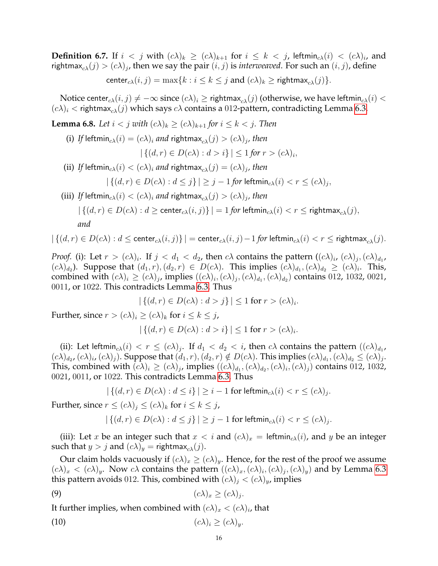**Definition 6.7.** If  $i < j$  with  $(c\lambda)_k \geq (c\lambda)_{k+1}$  for  $i \leq k < j$ , leftmin $_{c\lambda}(i) < (c\lambda)_i$ , and rightmax $_{c\lambda}(j)>(c\lambda)_j$ , then we say the pair  $(i,j)$  is *interweaved*. For such an  $(i,j)$ , define

center<sub>cλ</sub> $(i, j) = \max\{k : i \leq k \leq j \text{ and } (c\lambda)_k \geq \text{rightmax}_{\alpha\lambda}(j)\}.$ 

Notice center $c_{\lambda}(i, j) \neq -\infty$  since  $(c\lambda)_i \geq$  rightmax $c_{\lambda}(j)$  (otherwise, we have leftmin $c_{\lambda}(i)$  <  $(c\lambda)_i$   $\langle$  rightmax<sub>c $\lambda$ </sub> $(j)$  which says  $c\lambda$  contains a 012-pattern, contradicting Lemma [6.3.](#page-14-1)

<span id="page-15-2"></span>**Lemma 6.8.** Let  $i < j$  with  $(c\lambda)_k \ge (c\lambda)_{k+1}$  for  $i \le k < j$ . Then

(i) If leftmin $_{c\lambda}(i) = (c\lambda)_i$  and rightmax $_{c\lambda}(j) > (c\lambda)_j$ , then

$$
|\{(d,r)\in D(c\lambda):d>i\}|\leq 1 \text{ for } r>(c\lambda)_i,
$$

(ii) If leftmin $_{c\lambda}(i)<(c\lambda)_i$  and rightmax $_{c\lambda}(j)=(c\lambda)_j$ , then

$$
|\{(d,r)\in D(c\lambda):d\leq j\}|\geq j-1 \text{ for } \mathsf{leftmin}_{c\lambda}(i)< r\leq (c\lambda)_j,
$$

(iii) If leftmin $_{c\lambda}(i) < (c\lambda)_i$  and rightmax $_{c\lambda}(j) > (c\lambda)_j$ , then

$$
|\{(d,r) \in D(c\lambda) : d \ge \text{center}_{c\lambda}(i,j)\}| = 1
$$
 for  $\text{leftmin}_{c\lambda}(i) < r \le \text{rightmax}_{c\lambda}(j)$ ,  
and

$$
|\left\{(d,r) \in D(c\lambda): d \leq \mathrm{center}_{c\lambda}(i,j)\right\}| = \mathrm{center}_{c\lambda}(i,j) - 1 \text{ for } \mathrm{leftmin}_{c\lambda}(i) < r \leq \mathrm{rightmax}_{c\lambda}(j).
$$

*Proof.* (i): Let  $r > (c\lambda)_i$ . If  $j < d_1 < d_2$ , then  $c\lambda$  contains the pattern  $((c\lambda)_i, (c\lambda)_j, (c\lambda)_{d_1}$ ,  $(c\lambda)_{d_2}$ ). Suppose that  $(d_1, r), (d_2, r) \in D(c\lambda)$ . This implies  $(c\lambda)_{d_1}, (c\lambda)_{d_2} \geq (c\lambda)_i$ . This, combined with  $(c\lambda)_i \geq (c\lambda)_j$ , implies  $((c\lambda)_i, (c\lambda)_j, (c\lambda)_{d_1}, (c\lambda)_{d_2})$  contains 012, 1032, 0021, 0011, or 1022. This contradicts Lemma [6.3.](#page-14-1) Thus

$$
|\{(d,r)\in D(c\lambda):d>j\}|\leq 1\text{ for }r>(c\lambda)_i.
$$

Further, since  $r > (c\lambda)_i \ge (c\lambda)_k$  for  $i \le k \le j$ ,

$$
|\{(d,r)\in D(c\lambda):d>i\}|\leq 1 \text{ for } r>(c\lambda)_i.
$$

(ii): Let leftmin $_{c\lambda}(i) < r \leq (c\lambda)_j$ . If  $d_1 < d_2 < i$ , then  $c\lambda$  contains the pattern  $((c\lambda)_{d_1},$  $(c\lambda)_{d_2}, (c\lambda)_i, (c\lambda)_j$ ). Suppose that  $(d_1, r), (d_2, r) \notin D(c\lambda)$ . This implies  $(c\lambda)_{d_1}, (c\lambda)_{d_2} \leq (c\lambda)_j$ . This, combined with  $(c\lambda)_i \geq (c\lambda)_j$ , implies  $((c\lambda)_{d_1}, (c\lambda)_{d_2}, (c\lambda)_i, (c\lambda)_j)$  contains 012, 1032, 0021, 0011, or 1022. This contradicts Lemma [6.3.](#page-14-1) Thus

$$
|\{(d,r)\in D(c\lambda):d\leq i\}|\geq i-1\text{ for }\mathsf{leftmin}_{c\lambda}(i)
$$

Further, since  $r \leq (c\lambda)_i \leq (c\lambda)_k$  for  $i \leq k \leq j$ ,

<span id="page-15-1"></span><span id="page-15-0"></span>
$$
|\{(d,r)\in D(c\lambda):d\leq j\}|\geq j-1\text{ for }\mathsf{leftmin}_{c\lambda}(i)
$$

(iii): Let x be an integer such that  $x < i$  and  $(c\lambda)_x = \text{leftmin}_{c\lambda}(i)$ , and y be an integer such that  $y > j$  and  $(c\lambda)_y$  = rightmax<sub>c $\lambda$ </sub> $(j)$ .

Our claim holds vacuously if  $(c\lambda)_x \geq (c\lambda)_y$ . Hence, for the rest of the proof we assume  $(c\lambda)_x < (c\lambda)_y$ . Now  $c\lambda$  contains the pattern  $((c\lambda)_x, (c\lambda)_i, (c\lambda)_j, (c\lambda)_y)$  and by Lemma [6.3](#page-14-1) this pattern avoids 012. This, combined with  $(c\lambda)_j < (c\lambda)_y$ , implies

$$
(2) \t\t\t (c\lambda)_x \geq (c\lambda)_j.
$$

It further implies, when combined with  $(c\lambda)_x < (c\lambda)_i$ , that

$$
(10) \t\t\t (c\lambda)_i \geq (c\lambda)_y.
$$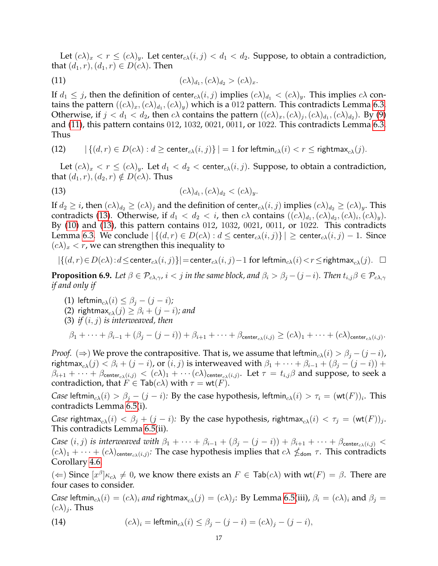Let  $(c\lambda)_x < r \leq (c\lambda)_y$ . Let center $c\lambda(i,j) < d_1 < d_2$ . Suppose, to obtain a contradiction, that  $(d_1, r), (d_1, r) \in D(c\lambda)$ . Then

<span id="page-16-0"></span>(11) 
$$
(c\lambda)_{d_1}, (c\lambda)_{d_2} > (c\lambda)_x.
$$

If  $d_1 \leq j$ , then the definition of center<sub>c</sub> $(\lambda, j)$  implies  $(c\lambda)_{d_1} < (c\lambda)_y$ . This implies  $c\lambda$  contains the pattern  $((c\lambda)_x, (c\lambda)_{d_1}, (c\lambda)_y)$  which is a 012 pattern. This contradicts Lemma [6.3.](#page-14-1) Otherwise, if  $j < d_1 < d_2$ , then  $c\lambda$  contains the pattern  $((c\lambda)_x, (c\lambda)_j, (c\lambda)_{d_1}, (c\lambda)_{d_2})$ . By [\(9\)](#page-15-0) and [\(11\)](#page-16-0), this pattern contains 012, 1032, 0021, 0011, or 1022. This contradicts Lemma [6.3.](#page-14-1) Thus

$$
\text{(12)} \qquad \left| \left\{ (d,r) \in D(c\lambda) : d \geq \text{center}_{c\lambda}(i,j) \right\} \right| = 1 \text{ for } \text{leftmin}_{c\lambda}(i) < r \leq \text{rightmax}_{c\lambda}(j).
$$

Let  $(c\lambda)_x < r \leq (c\lambda)_y$ . Let  $d_1 < d_2 <$  center $c_{\lambda}(i, j)$ . Suppose, to obtain a contradiction, that  $(d_1, r), (d_2, r) \notin D(c\lambda)$ . Thus

<span id="page-16-1"></span>(13) 
$$
(c\lambda)_{d_1}, (c\lambda)_{d_2} < (c\lambda)_y.
$$

If  $d_2 \geq i$ , then  $(c\lambda)_{d_2} \geq (c\lambda)_i$  and the definition of center $c_{c\lambda}(i, j)$  implies  $(c\lambda)_{d_2} \geq (c\lambda)_y$ . This contradicts [\(13\)](#page-16-1). Otherwise, if  $d_1 < d_2 < i$ , then  $c\lambda$  contains  $((c\lambda)_{d_1}, (c\lambda)_{d_2}, (c\lambda)_i, (c\lambda)_y)$ . By [\(10\)](#page-15-1) and [\(13\)](#page-16-1), this pattern contains 012, 1032, 0021, 0011, or 1022. This contradicts Lemma [6.3.](#page-14-1) We conclude  $|\{(d, r) \in D(c\lambda) : d \leq \text{center}_{c\lambda}(i, j)\}| \geq \text{center}_{c\lambda}(i, j) - 1$ . Since  $(c\lambda)_x < r$ , we can strengthen this inequality to

$$
|\{(d,r)\!\in\! D(c\lambda)\!:\!d\!\leq\!\text{center}_{c\lambda}(i,j)\}|\!=\!\text{center}_{c\lambda}(i,j)\!-\!1\text{ for }\mathsf{leftmin}_{c\lambda}(i)\!<\!r\!\leq\!\text{rightmax}_{c\lambda}(j).\quad\Box
$$

<span id="page-16-2"></span>**Proposition 6.9.** Let  $\beta \in \mathcal{P}_{c\lambda,\gamma}$ ,  $i < j$  in the same block, and  $\beta_i > \beta_j - (j - i)$ . Then  $t_{i,j}\beta \in \mathcal{P}_{c\lambda,\gamma}$ *if and only if*

- (1) leftmin<sub>c $\lambda$ </sub> $(i) \leq \beta$ <sub>*i*</sub>  $(j i)$ *;*
- (2) rightmax<sub>cλ</sub>(j)  $\geq \beta_i + (j i)$ ; and
- (3) *if* (i, j) *is interweaved, then*

 $\beta_1+\cdots+\beta_{i-1}+(\beta_j-(j-i))+\beta_{i+1}+\cdots+\beta_{\mathsf{center}_{c\lambda}(i,j)}\geq (c\lambda)_1+\cdots+(c\lambda)_{\mathsf{center}_{c\lambda}(i,j)}.$ 

*Proof.* ( $\Rightarrow$ ) We prove the contrapositive. That is, we assume that leftmin<sub>cλ</sub>(i) >  $\beta_i - (j - i)$ , rightmax<sub>c</sub><sub>λ</sub>(j) <  $\beta_i$  + (j − i), or (i, j) is interweaved with  $\beta_1$  + · · · +  $\beta_{i-1}$  + ( $\beta_j$  – (j – i)) +  $\beta_{i+1}+\cdots+\beta_{\mathsf{center}_{c\lambda}(i,j)}<(c\lambda)_1+\cdots(c\lambda)_{\mathsf{center}_{c\lambda}(i,j)}.$  Let  $\tau=t_{i,j}\beta$  and suppose, to seek a contradiction, that  $F \in \text{Tab}(c\lambda)$  with  $\tau = \text{wt}(F)$ .

*Case* leftmin<sub>c $\lambda(i) > \beta_j - (j - i)$ : By the case hypothesis, leftmin<sub>c $\lambda(i) > \tau_i = (\textsf{wt}(F))_i$ . This</sub></sub> contradicts Lemma [6.5\(](#page-14-2)i).

*Case* rightmax $_{c\lambda}(i) < \beta_j + (j - i)$ : By the case hypothesis, rightmax $_{c\lambda}(i) < \tau_j = (\mathsf{wt}(F))_j$ . This contradicts Lemma [6.5\(](#page-14-2)ii).

*Case*  $(i, j)$  *is interweaved with*  $\beta_1 + \cdots + \beta_{i-1} + (\beta_j - (j - i)) + \beta_{i+1} + \cdots + \beta_{\text{center}_{c\lambda}(i,j)}$  $(c\lambda)_1 + \cdots + (c\lambda)_{\text{center}_{c\lambda}(i,j)}$ : The case hypothesis implies that  $c\lambda \nleq_{\text{dom}} \tau$ . This contradicts Corollary [4.6.](#page-10-3)

(  $\Leftarrow$  ) Since  $[x^{\beta}]_{\kappa_{c\lambda}} \neq 0$ , we know there exists an  $F \in \text{Tab}(c\lambda)$  with wt $(F) = \beta$ . There are four cases to consider.

*Case* leftmin $_{c\lambda}(i) = (c\lambda)_i$  *and* rightmax $_{c\lambda}(j) = (c\lambda)_j$ : By Lemma [6.5\(](#page-14-2)iii),  $\beta_i = (c\lambda)_i$  and  $\beta_j = (c\lambda)_i$  $(c\lambda)_j$ . Thus

(14) 
$$
(c\lambda)_i = \text{leftmin}_{c\lambda}(i) \leq \beta_j - (j - i) = (c\lambda)_j - (j - i),
$$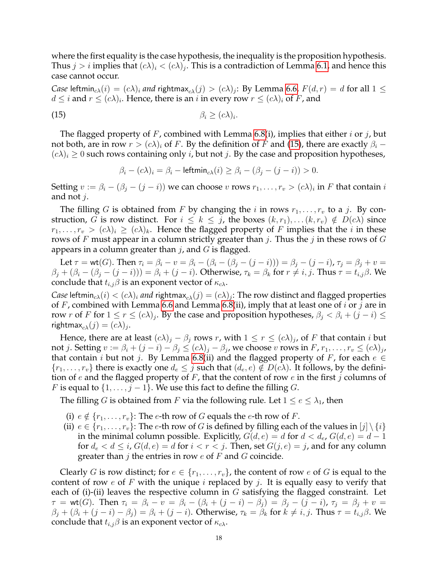where the first equality is the case hypothesis, the inequality is the proposition hypothesis. Thus  $j > i$  implies that  $(c\lambda)_i < (c\lambda)_j$ . This is a contradiction of Lemma [6.1,](#page-13-2) and hence this case cannot occur.

*Case* leftmin $_{c\lambda}(i)=(c\lambda)_i$  *and* rightmax $_{c\lambda}(j)>(c\lambda)_j$ : By Lemma [6.6,](#page-14-3)  $F(d,r)=d$  for all  $1\leq$  $d\leq i$  and  $r\leq (c\lambda)_i.$  Hence, there is an  $i$  in every row  $r\leq (c\lambda)_i$  of  $F$ , and

$$
\beta_i \geq (c\lambda)_i.
$$

The flagged property of F, combined with Lemma [6.8\(](#page-15-2)i), implies that either i or j, but not both, are in row  $r > (c\lambda)_i$  of F. By the definition of F and [\(15\)](#page-17-0), there are exactly  $\beta_i$  –  $(c\lambda)_i \geq 0$  such rows containing only *i*, but not *j*. By the case and proposition hypotheses,

<span id="page-17-0"></span>
$$
\beta_i - (c\lambda)_i = \beta_i - \mathsf{leftmin}_{c\lambda}(i) \ge \beta_i - (\beta_j - (j - i)) > 0.
$$

Setting  $v := \beta_i - (\beta_j - (j - i))$  we can choose  $v$  rows  $r_1, \ldots, r_v > (c\lambda)_i$  in  $F$  that contain  $i$ and not  $j$ .

The filling G is obtained from F by changing the i in rows  $r_1, \ldots, r_v$  to a j. By construction, G is row distinct. For  $i \leq k \leq j$ , the boxes  $(k, r_1), \ldots (k, r_v) \notin D(c\lambda)$  since  $r_1, \ldots, r_v > (c\lambda)_i \ge (c\lambda)_k$ . Hence the flagged property of F implies that the i in these rows of F must appear in a column strictly greater than j. Thus the j in these rows of G appears in a column greater than  $j$ , and  $G$  is flagged.

Let  $\tau = \text{wt}(G)$ . Then  $\tau_i = \beta_i - v = \beta_i - (\beta_i - (\beta_j - (j - i))) = \beta_j - (j - i)$ ,  $\tau_j = \beta_j + v =$  $\beta_i + (\beta_i - (\beta_j - (j - i))) = \beta_i + (j - i)$ . Otherwise,  $\tau_k = \beta_k$  for  $r \neq i, j$ . Thus  $\tau = t_{i,j}\beta$ . We conclude that  $t_{i,j}\beta$  is an exponent vector of  $\kappa_{c\lambda}$ .

*Case* leftmin $_{c\lambda}(i)<(c\lambda)_i$  *and* rightmax $_{c\lambda}(j)=(c\lambda)_j$ : The row distinct and flagged properties of F, combined with Lemma [6.6](#page-14-3) and Lemma [6.8\(](#page-15-2)ii), imply that at least one of i or j are in row r of F for  $1 \le r \le (c\lambda)_j$ . By the case and proposition hypotheses,  $\beta_j < \beta_i + (j - i) \le$ rightmax $_{c\lambda}(j)=(c\lambda)_j$ .

Hence, there are at least  $(c\lambda)_j - \beta_j$  rows r, with  $1 \leq r \leq (c\lambda)_j$ , of F that contain i but not j. Setting  $v:=\beta_i+(j-i)-\beta_j\leq (c\lambda)_j-\beta_j$ , we choose  $v$  rows in  $F$ ,  $r_1,\ldots, r_v\leq (c\lambda)_j$ , that contain *i* but not *j*. By Lemma [6.8\(](#page-15-2)ii) and the flagged property of F, for each  $e \in$  $\{r_1,\ldots,r_v\}$  there is exactly one  $d_e \leq j$  such that  $(d_e,e) \notin D(c\lambda)$ . It follows, by the definition of e and the flagged property of  $F$ , that the content of row e in the first j columns of *F* is equal to  $\{1, \ldots, j-1\}$ . We use this fact to define the filling *G*.

The filling G is obtained from F via the following rule. Let  $1 \le e \le \lambda_1$ , then

- (i)  $e \notin \{r_1, \ldots, r_v\}$ : The e-th row of G equals the e-th row of F.
- (ii)  $e \in \{r_1, \ldots, r_v\}$ : The *e*-th row of *G* is defined by filling each of the values in  $[j] \setminus \{i\}$ in the minimal column possible. Explicitly,  $G(d, e) = d$  for  $d < d_e$ ,  $G(d, e) = d - 1$ for  $d_e < d \le i$ ,  $G(d, e) = d$  for  $i < r < j$ . Then, set  $G(j, e) = j$ , and for any column greater than  $j$  the entries in row  $e$  of  $F$  and  $G$  coincide.

Clearly G is row distinct; for  $e \in \{r_1, \ldots, r_v\}$ , the content of row e of G is equal to the content of row  $e$  of F with the unique  $i$  replaced by  $j$ . It is equally easy to verify that each of (i)-(ii) leaves the respective column in  $G$  satisfying the flagged constraint. Let  $\tau = \text{wt}(G)$ . Then  $\tau_i = \beta_i - v = \beta_i - (\beta_i + (j - i) - \beta_i) = \beta_i - (j - i)$ ,  $\tau_i = \beta_i + v =$  $\beta_i + (\beta_i + (j - i) - \beta_i) = \beta_i + (j - i)$ . Otherwise,  $\tau_k = \beta_k$  for  $k \neq i, j$ . Thus  $\tau = t_{i,j}\beta$ . We conclude that  $t_{i,j}\beta$  is an exponent vector of  $\kappa_{c\lambda}$ .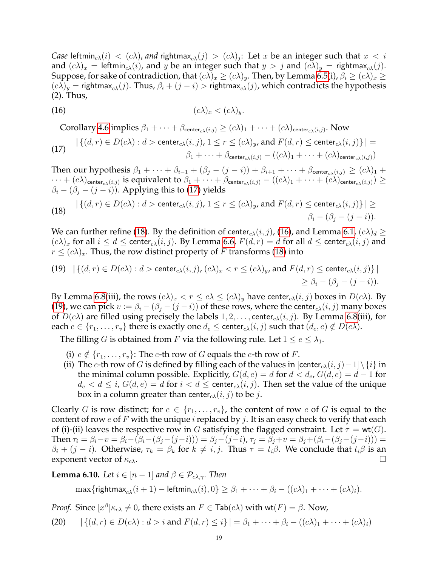*Case* leftmin $_{c\lambda}(i)<(c\lambda)_i$  and rightmax $_{c\lambda}(j)> (c\lambda)_j$ : Let  $x$  be an integer such that  $x< i$ and  $(c\lambda)_x$  = leftmin<sub>c $\lambda$ </sub> $(i)$ , and y be an integer such that  $y > j$  and  $(c\lambda)_y$  = rightmax<sub>c</sub> $\lambda$  $(j)$ . Suppose, for sake of contradiction, that  $(c\lambda)_x \geq (c\lambda)_y$ . Then, by Lemma [6.5\(](#page-14-2)i),  $\beta_i \geq (c\lambda)_x \geq$  $(c\lambda)_y$  = rightmax<sub>c</sub><sub>λ</sub>(j). Thus,  $\beta_i + (j - i)$  > rightmax<sub>c</sub><sub>λ</sub>(j), which contradicts the hypothesis (2). Thus,

$$
(16) \t\t\t (c\lambda)_x < (c\lambda)_y.
$$

<span id="page-18-2"></span>Corollary [4.6](#page-10-3) implies  $\beta_1+\cdots+\beta_{\mathsf{center}_{c\lambda}(i,j)}\geq (c\lambda)_1+\cdots+(c\lambda)_{\mathsf{center}_{c\lambda}(i,j)}$ . Now

<span id="page-18-0"></span>(17) 
$$
|\{(d,r) \in D(c\lambda) : d > \text{center}_{c\lambda}(i,j), 1 \leq r \leq (c\lambda)_{y}, \text{ and } F(d,r) \leq \text{center}_{c\lambda}(i,j)\}| = \beta_1 + \dots + \beta_{\text{center}_{c\lambda}(i,j)} - ((c\lambda)_1 + \dots + (c\lambda)_{\text{center}_{c\lambda}(i,j)})
$$

Then our hypothesis  $\beta_1 + \cdots + \beta_{i-1} + (\beta_j - (j - i)) + \beta_{i+1} + \cdots + \beta_{\text{center}_{c\lambda}(i,j)} \geq (c\lambda)_1 +$  $\cdots+(c\lambda)_{\mathsf{center}_{c\lambda}(i,j)}$  is equivalent to  $\beta_1+\cdots+\beta_{\mathsf{center}_{c\lambda}(i,j)}-((c\lambda)_1+\cdots+(c\lambda)_{\mathsf{center}_{c\lambda}(i,j)})\geq$  $\beta_i - (\beta_j - (j - i))$ . Applying this to [\(17\)](#page-18-0) yields

<span id="page-18-1"></span>(18) 
$$
|\{(d,r) \in D(c\lambda) : d > \text{center}_{c\lambda}(i,j), 1 \le r \le (c\lambda)_y, \text{ and } F(d,r) \le \text{center}_{c\lambda}(i,j)\}| \ge \beta_i - (\beta_j - (j-i)).
$$

We can further refine [\(18\)](#page-18-1). By the definition of center<sub>cλ</sub> $(i, j)$ , [\(16\)](#page-18-2), and Lemma [6.1,](#page-13-2)  $(c\lambda)_d \ge$  $(c\lambda)_x$  for all  $i \leq d \leq$  center $_{c\lambda}(i, j)$ . By Lemma [6.6,](#page-14-3)  $F(d, r) = d$  for all  $d \leq$  center $_{c\lambda}(i, j)$  and  $r \leq (c\lambda)_x$ . Thus, the row distinct property of F transforms [\(18\)](#page-18-1) into

<span id="page-18-3"></span>(19) 
$$
|\{(d,r) \in D(c\lambda) : d > \text{center}_{c\lambda}(i,j), (c\lambda)_x < r \leq (c\lambda)_y
$$
, and  $F(d,r) \leq \text{center}_{c\lambda}(i,j)\}|\geq \beta_i - (\beta_j - (j-i)).$ 

By Lemma [6.8\(](#page-15-2)iii), the rows  $(c\lambda)_x < r \le c\lambda \le (c\lambda)_y$  have center $c_\lambda(i,j)$  boxes in  $D(c\lambda)$ . By [\(19\)](#page-18-3), we can pick  $v := \beta_i - (\beta_j - (j - i))$  of these rows, where the center<sub>cλ</sub> $(i, j)$  many boxes of  $D(c\lambda)$  are filled using precisely the labels  $1, 2, \ldots$ , center $c_{\lambda}(i, j)$ . By Lemma [6.8\(](#page-15-2)iii), for each  $e \in \{r_1, \ldots, r_v\}$  there is exactly one  $d_e \leq$  center $c_{\lambda}(i, j)$  such that  $(d_e, e) \notin D(c\lambda)$ .

The filling G is obtained from F via the following rule. Let  $1 \le e \le \lambda_1$ .

- (i)  $e \notin \{r_1, \ldots, r_v\}$ : The *e*-th row of G equals the *e*-th row of F.
- (ii) The e-th row of G is defined by filling each of the values in  $\left[\text{center}_{c\lambda}(i,j)-1\right]\setminus\{i\}$  in the minimal column possible. Explicitly,  $G(d, e) = d$  for  $d < d_e$ ,  $G(d, e) = d - 1$  for  $d_e < d \leq i$ ,  $G(d, e) = d$  for  $i < d \leq$  center $c_{\lambda}(i, j)$ . Then set the value of the unique box in a column greater than center<sub>cλ</sub> $(i, j)$  to be j.

Clearly G is row distinct; for  $e \in \{r_1, \ldots, r_v\}$ , the content of row e of G is equal to the content of row e of F with the unique i replaced by j. It is an easy check to verify that each of (i)-(ii) leaves the respective row in G satisfying the flagged constraint. Let  $\tau = \text{wt}(G)$ . Then  $\tau_i = \beta_i - v = \beta_i - (\beta_i - (\beta_j - (j-i))) = \beta_j - (j-i)$ ,  $\tau_j = \beta_j + v = \beta_j + (\beta_i - (\beta_j - (j-i))) =$  $\beta_i + (j - i)$ . Otherwise,  $\tau_k = \beta_k$  for  $k \neq i, j$ . Thus  $\tau = t_i\beta$ . We conclude that  $t_i\beta$  is an exponent vector of  $\kappa_{c\lambda}$ .

<span id="page-18-5"></span>**Lemma 6.10.** *Let*  $i \in [n-1]$  *and*  $\beta \in \mathcal{P}_{c\lambda,\gamma}$ *. Then* 

<span id="page-18-4"></span> $\max\{\text{rightmax}_{c\lambda}(i+1) - \text{leftmin}_{c\lambda}(i), 0\} \geq \beta_1 + \cdots + \beta_i - ((c\lambda)_1 + \cdots + (c\lambda)_i).$ 

*Proof.* Since  $[x^{\beta}] \kappa_{c\lambda} \neq 0$ , there exists an  $F \in \text{Tab}(c\lambda)$  with wt $(F) = \beta$ . Now,

(20)  $|\{(d, r) \in D(c\lambda): d > i \text{ and } F(d, r) \leq i\}| = \beta_1 + \cdots + \beta_i - ((c\lambda)_1 + \cdots + (c\lambda)_i)$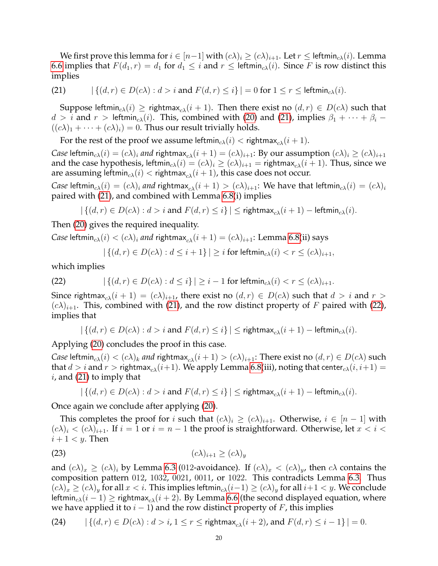We first prove this lemma for  $i \in [n-1]$  with  $(c\lambda)_i \geq (c\lambda)_{i+1}$ . Let  $r \leq$  leftmin $_{c\lambda}(i)$ . Lemma [6.6](#page-14-3) implies that  $F(d_1, r) = d_1$  for  $d_1 \leq i$  and  $r \leq$  leftmin<sub>c</sub> $(i)$ . Since F is row distinct this implies

<span id="page-19-0"></span>(21) 
$$
|\{(d,r)\in D(c\lambda):d>i\text{ and }F(d,r)\leq i\}|=0\text{ for }1\leq r\leq\text{leftmin}_{c\lambda}(i).
$$

Suppose leftmin<sub>cλ</sub>(i)  $\geq$  rightmax<sub>cλ</sub>(i + 1). Then there exist no  $(d, r) \in D(c\lambda)$  such that  $d > i$  and  $r >$  leftmin<sub>cλ</sub>(i). This, combined with [\(20\)](#page-18-4) and [\(21\)](#page-19-0), implies  $\beta_1 + \cdots + \beta_i$  $((c\lambda)_1 + \cdots + (c\lambda)_i) = 0$ . Thus our result trivially holds.

For the rest of the proof we assume leftmin<sub>c $\lambda$ </sub> $(i)$  < rightmax<sub>c $\lambda$ </sub> $(i+1)$ .

*Case* leftmin<sub>c</sub> $\lambda(i) = (c\lambda)_i$  *and* rightmax<sub>c</sub> $\lambda(i+1) = (c\lambda)_{i+1}$ : By our assumption  $(c\lambda)_i \geq (c\lambda)_{i+1}$ and the case hypothesis, leftmin<sub>c $\lambda(i) = (c\lambda)_i \ge (c\lambda)_{i+1}$  = rightmax<sub>c $\lambda(i+1)$ </sub>. Thus, since we</sub> are assuming leftmin<sub>c $\lambda$ </sub> $(i)$  < rightmax<sub>c $\lambda$ </sub> $(i + 1)$ , this case does not occur.

*Case* leftmin<sub>c $\lambda(i) = (c\lambda)_i$  *and* rightmax $\lambda(i+1) > (c\lambda)_{i+1}$ : We have that leftmin $\lambda(i) = (c\lambda)_i$ </sub> paired with [\(21\)](#page-19-0), and combined with Lemma [6.8\(](#page-15-2)i) implies

$$
|\{(d,r) \in D(c\lambda): d > i \text{ and } F(d,r) \leq i\}| \leq \text{rightmax}_{c\lambda}(i+1) - \text{leftmin}_{c\lambda}(i).
$$

Then [\(20\)](#page-18-4) gives the required inequality.

*Case* leftmin<sub>c $\lambda$ </sub> $(i) < (c\lambda)_i$  *and* rightmax<sub>c $\lambda$ </sub> $(i + 1) = (c\lambda)_{i+1}$ : Lemma [6.8\(](#page-15-2)ii) says

<span id="page-19-1"></span>
$$
|\{(d,r) \in D(c\lambda): d \leq i+1\}| \geq i
$$
 for  $leftmin_{c\lambda}(i) < r \leq (c\lambda)_{i+1}$ ,

which implies

(22) 
$$
|\{(d,r)\in D(c\lambda):d\leq i\}|\geq i-1 \text{ for } \text{leftmin}_{c\lambda}(i)< r\leq (c\lambda)_{i+1}.
$$

Since rightmax<sub>c</sub><sub>λ</sub> $(i + 1) = (c\lambda)_{i+1}$ , there exist no  $(d, r) \in D(c\lambda)$  such that  $d > i$  and  $r > i$  $(c\lambda)_{i+1}$ . This, combined with [\(21\)](#page-19-0), and the row distinct property of F paired with [\(22\)](#page-19-1), implies that

$$
|\{(d,r) \in D(c\lambda): d > i \text{ and } F(d,r) \leq i\}| \leq \text{rightmax}_{c\lambda}(i+1) - \text{leftmin}_{c\lambda}(i).
$$

Applying [\(20\)](#page-18-4) concludes the proof in this case.

*Case* leftmin<sub>cλ</sub>(i) <  $(c\lambda)_k$  *and* rightmax<sub>c</sub><sub>λ</sub>(i+1) >  $(c\lambda)_{i+1}$ : There exist no  $(d, r) \in D(c\lambda)$  such that  $d > i$  and  $r >$  rightmax<sub>c</sub> $(i+1)$ . We apply Lemma [6.8\(](#page-15-2)iii), noting that center<sub>c</sub> $(i, i+1) =$  $i$ , and [\(21\)](#page-19-0) to imply that

<span id="page-19-3"></span>
$$
|\{(d,r) \in D(c\lambda): d > i \text{ and } F(d,r) \leq i\}| \leq \text{rightmax}_{c\lambda}(i+1) - \text{leftmin}_{c\lambda}(i).
$$

Once again we conclude after applying [\(20\)](#page-18-4).

This completes the proof for i such that  $(c\lambda)_i \geq (c\lambda)_{i+1}$ . Otherwise,  $i \in [n-1]$  with  $(c\lambda)_i < (c\lambda)_{i+1}$ . If  $i = 1$  or  $i = n - 1$  the proof is straightforward. Otherwise, let  $x < i <$  $i+1 < y$ . Then

$$
(23) \t\t\t (c\lambda)_{i+1} \ge (c\lambda)_y
$$

and  $(c\lambda)_x \geq (c\lambda)_i$  by Lemma [6.3](#page-14-1) (012-avoidance). If  $(c\lambda)_x < (c\lambda)_y$ , then  $c\lambda$  contains the composition pattern 012, 1032, 0021, 0011, or 1022. This contradicts Lemma [6.3.](#page-14-1) Thus  $(c\lambda)_x \geq (c\lambda)_y$  for all  $x < i$ . This implies leftmin $_{c\lambda}(i-1) \geq (c\lambda)_y$  for all  $i+1 < y$ . We conclude leftmin<sub>cλ</sub>(i – 1) ≥ rightmax<sub>cλ</sub>(i + 2). By Lemma [6.6](#page-14-3) (the second displayed equation, where we have applied it to  $i - 1$ ) and the row distinct property of F, this implies

<span id="page-19-2"></span>(24) 
$$
|\{(d,r) \in D(c\lambda) : d > i, 1 \le r \le \text{rightmax}_{c\lambda}(i+2), \text{ and } F(d,r) \le i-1\}| = 0.
$$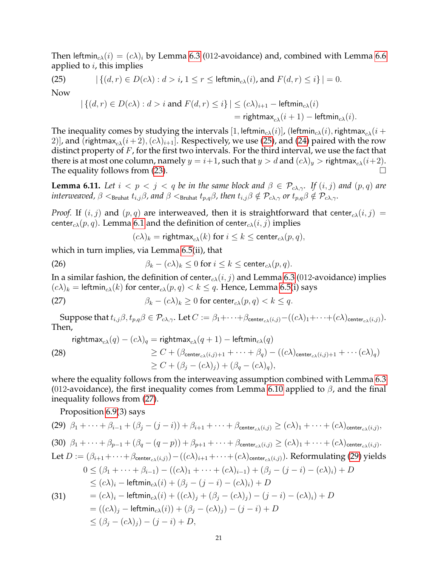Then leftmin<sub>cλ</sub>(i) =  $(c\lambda)_i$  by Lemma [6.3](#page-14-1) (012-avoidance) and, combined with Lemma [6.6](#page-14-3) applied to  $i$ , this implies

(25) 
$$
|\{(d,r)\in D(c\lambda):d>i, 1\leq r\leq \text{leftmin}_{c\lambda}(i)\text{, and }F(d,r)\leq i\}|=0.
$$

<span id="page-20-0"></span>
$$
\begin{aligned} \left| \left\{ (d,r) \in D(c\lambda) : d > i \text{ and } F(d,r) \leq i \right\} \right| &\leq (c\lambda)_{i+1} - \mathsf{leftmin}_{c \lambda}(i) \\ & = \mathsf{rightmax}_{c \lambda}(i+1) - \mathsf{leftmin}_{c \lambda}(i). \end{aligned}
$$

The inequality comes by studying the intervals [1, leftmin<sub>cλ</sub>(i)], (leftmin<sub>cλ</sub>(i), rightmax<sub>cλ</sub>(i + 2)], and (rightmax<sub>cλ</sub>(i+2),  $(c\lambda)_{i+1}$ ]. Respectively, we use [\(25\)](#page-20-0), and [\(24\)](#page-19-2) paired with the row distinct property of  $F$ , for the first two intervals. For the third interval, we use the fact that there is at most one column, namely  $y = i+1$ , such that  $y > d$  and  $(c\lambda)_y >$  rightmax $_{c\lambda}(i+2)$ . The equality follows from [\(23\)](#page-19-3).  $\Box$ 

<span id="page-20-7"></span>**Lemma 6.11.** *Let*  $i < p < j < q$  *be in the same block and*  $\beta \in \mathcal{P}_{c\lambda,\gamma}$ *. If*  $(i, j)$  *and*  $(p, q)$  *are interweaved,*  $\beta <sub>Bruhat</sub> t_{i,j}\beta$ , and  $\beta <sub>Bruhat</sub> t_{p,q}\beta$ , then  $t_{i,j}\beta \notin \mathcal{P}_{c\lambda,\gamma}$  or  $t_{p,q}\beta \notin \mathcal{P}_{c\lambda,\gamma}$ .

*Proof.* If  $(i, j)$  and  $(p, q)$  are interweaved, then it is straightforward that center<sub>c</sub> $(i, j)$  = center<sub>cλ</sub> $(p, q)$ . Lemma [6.1](#page-13-2) and the definition of center<sub>cλ</sub> $(i, j)$  implies

<span id="page-20-4"></span><span id="page-20-1"></span> $(c\lambda)_k$  = rightmax<sub>c</sub><sub>λ</sub>(k) for  $i \leq k \leq$  center<sub>cλ</sub>(p, q),

which in turn implies, via Lemma [6.5\(](#page-14-2)ii), that

(26) 
$$
\beta_k - (c\lambda)_k \leq 0 \text{ for } i \leq k \leq \text{center}_{c\lambda}(p,q).
$$

In a similar fashion, the definition of center $_{c\lambda}(i, j)$  and Lemma [6.3](#page-14-1) (012-avoidance) implies  $(c\lambda)_k = \text{leftmin}_{c\lambda}(k)$  for center $c\lambda}(p, q) < k \leq q$ . Hence, Lemma [6.5\(](#page-14-2)i) says

(27) 
$$
\beta_k - (c\lambda)_k \geq 0 \text{ for center}_{c\lambda}(p,q) < k \leq q.
$$

Suppose that  $t_{i,j}\beta$ ,  $t_{p,q}\beta \in \mathcal{P}_{c\lambda,\gamma}$ . Let  $C := \beta_1 + \cdots + \beta_{\text{center}_{c\lambda}(i,j)} - ((c\lambda)_1 + \cdots + (c\lambda)_{\text{center}_{c\lambda}(i,j)})$ . Then,

<span id="page-20-6"></span>rightmax<sub>c<sub>λ</sub></sub>(q) - (c
$$
\lambda
$$
)<sub>q</sub> = rightmax<sub>c<sub>λ</sub></sub>(q + 1) - leftmin<sub>c<sub>λ</sub></sub>(q)  
\n
$$
\geq C + (\beta_{\text{center}_{c\lambda}(i,j)+1} + \cdots + \beta_{q}) - ((c\lambda)_{\text{center}_{c\lambda}(i,j)+1} + \cdots + (c\lambda)_{q})
$$
\n
$$
\geq C + (\beta_{j} - (c\lambda)_{j}) + (\beta_{q} - (c\lambda)_{q}),
$$

where the equality follows from the interweaving assumption combined with Lemma [6.3](#page-14-1) (012-avoidance), the first inequality comes from Lemma [6.10](#page-18-5) applied to  $\beta$ , and the final inequality follows from [\(27\)](#page-20-1).

<span id="page-20-2"></span>Proposition [6.9\(](#page-16-2)3) says

<span id="page-20-5"></span><span id="page-20-3"></span>(29) 
$$
\beta_1 + \cdots + \beta_{i-1} + (\beta_j - (j - i)) + \beta_{i+1} + \cdots + \beta_{\text{center}_{c\lambda}(i,j)} \ge (c\lambda)_1 + \cdots + (c\lambda)_{\text{center}_{c\lambda}(i,j)},
$$
  
\n(30)  $\beta_1 + \cdots + \beta_{p-1} + (\beta_q - (q - p)) + \beta_{p+1} + \cdots + \beta_{\text{center}_{c\lambda}(i,j)} \ge (c\lambda)_1 + \cdots + (c\lambda)_{\text{center}_{c\lambda}(i,j)}.$   
\nLet  $D := (\beta_{i+1} + \cdots + \beta_{\text{center}_{c\lambda}(i,j)}) - ((c\lambda)_{i+1} + \cdots + (c\lambda)_{\text{center}_{c\lambda}(i,j)}).$  Reformulating (29) yields  
\n $0 \le (\beta_1 + \cdots + \beta_{i-1}) - ((c\lambda)_1 + \cdots + (c\lambda)_{i-1}) + (\beta_j - (j - i) - (c\lambda)_i) + D$   
\n $\le (c\lambda)_i - \text{leftmin}_{c\lambda}(i) + (\beta_j - (j - i) - (c\lambda)_i) + D$   
\n(31)  $= (c\lambda)_i - \text{leftmin}_{c\lambda}(i) + ((c\lambda)_j + (\beta_j - (c\lambda)_j) - (j - i) - (c\lambda)_i) + D$   
\n $= ((c\lambda)_j - \text{leftmin}_{c\lambda}(i)) + (\beta_j - (c\lambda)_j) - (j - i) + D$   
\n $\le (\beta_j - (c\lambda)_j) - (j - i) + D,$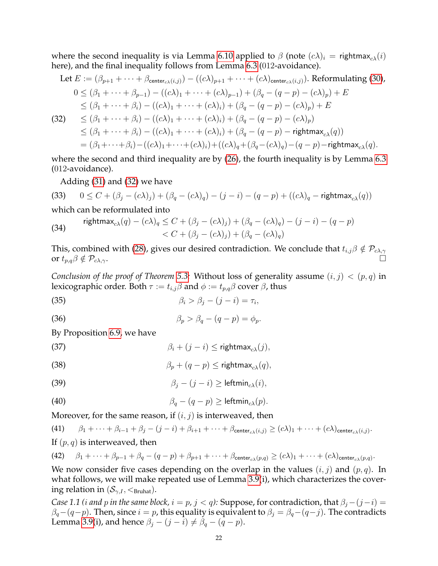where the second inequality is via Lemma [6.10](#page-18-5) applied to  $\beta$  (note  $(c\lambda)_i$  = rightmax<sub>cλ</sub>(i) here), and the final inequality follows from Lemma [6.3](#page-14-1) (012-avoidance).

<span id="page-21-0"></span>Let 
$$
E := (\beta_{p+1} + \cdots + \beta_{\text{center}_{c\lambda}(i,j)}) - ((c\lambda)_{p+1} + \cdots + (c\lambda)_{\text{center}_{c\lambda}(i,j)})
$$
. Reformulating (30),  
\n $0 \leq (\beta_1 + \cdots + \beta_{p-1}) - ((c\lambda)_1 + \cdots + (c\lambda)_{p-1}) + (\beta_q - (q-p) - (c\lambda)_p) + E$   
\n $\leq (\beta_1 + \cdots + \beta_i) - ((c\lambda)_1 + \cdots + (c\lambda)_i) + (\beta_q - (q-p) - (c\lambda)_p) + E$   
\n(32)  $\leq (\beta_1 + \cdots + \beta_i) - ((c\lambda)_1 + \cdots + (c\lambda)_i) + (\beta_q - (q-p) - (c\lambda)_p)$   
\n $\leq (\beta_1 + \cdots + \beta_i) - ((c\lambda)_1 + \cdots + (c\lambda)_i) + (\beta_q - (q-p) - \text{rightmax}_{c\lambda}(q))$   
\n $= (\beta_1 + \cdots + \beta_i) - ((c\lambda)_1 + \cdots + (c\lambda)_i) + ((c\lambda)_q + (\beta_q - (c\lambda)_q) - (q-p) - \text{rightmax}_{c\lambda}(q)).$ 

where the second and third inequality are by  $(26)$ , the fourth inequality is by Lemma [6.3](#page-14-1) (012-avoidance).

Adding [\(31\)](#page-20-5) and [\(32\)](#page-21-0) we have

(33) 
$$
0 \le C + (\beta_j - (c\lambda)_j) + (\beta_q - (c\lambda)_q) - (j - i) - (q - p) + ((c\lambda)_q - \text{rightmax}_{c\lambda}(q))
$$

which can be reformulated into

(34) 
$$
\text{rightmax}_{c\lambda}(q) - (c\lambda)_q \leq C + (\beta_j - (c\lambda)_j) + (\beta_q - (c\lambda)_q) - (j - i) - (q - p) < C + (\beta_j - (c\lambda)_j) + (\beta_q - (c\lambda)_q)
$$

This, combined with [\(28\)](#page-20-6), gives our desired contradiction. We conclude that  $t_{i,j}\beta\notin\mathcal{P}_{c\lambda,\gamma}$ or  $t_{p,q}\beta \notin \mathcal{P}_{c\lambda,\gamma}$ .

*Conclusion of the proof of Theorem [5.3:](#page-11-1)* Without loss of generality assume  $(i, j) < (p, q)$  in lexicographic order. Both  $\tau := t_{i,j}\beta$  and  $\phi := t_{p,q}\beta$  cover  $\beta$ , thus

<span id="page-21-1"></span>
$$
\beta_i > \beta_j - (j - i) = \tau_i,
$$

<span id="page-21-2"></span>(36)  $\beta_p > \beta_q - (q - p) = \phi_p.$ 

By Proposition [6.9,](#page-16-2) we have

<span id="page-21-3"></span>(37)  $\beta_i + (j - i) <$  rightmax<sub>a</sub> $(i)$ ,

<span id="page-21-7"></span>(38) 
$$
\beta_p + (q - p) \leq \text{rightmax}_{c\lambda}(q),
$$

<span id="page-21-4"></span>(39) 
$$
\beta_j - (j - i) \geq \text{leftmin}_{c\lambda}(i),
$$

<span id="page-21-6"></span>(40) 
$$
\beta_q - (q - p) \geq \text{leftmin}_{c\lambda}(p).
$$

Moreover, for the same reason, if  $(i, j)$  is interweaved, then

<span id="page-21-5"></span>(41) 
$$
\beta_1 + \dots + \beta_{i-1} + \beta_j - (j-i) + \beta_{i+1} + \dots + \beta_{\text{center}_{c\lambda}(i,j)} \geq (c\lambda)_1 + \dots + (c\lambda)_{\text{center}_{c\lambda}(i,j)}.
$$

If  $(p, q)$  is interweaved, then

<span id="page-21-8"></span>(42) 
$$
\beta_1 + \cdots + \beta_{p-1} + \beta_q - (q-p) + \beta_{p+1} + \cdots + \beta_{\text{center}_{c\lambda}(p,q)} \geq (c\lambda)_1 + \cdots + (c\lambda)_{\text{center}_{c\lambda}(p,q)}
$$

We now consider five cases depending on the overlap in the values  $(i, j)$  and  $(p, q)$ . In what follows, we will make repeated use of Lemma [3.9\(](#page-7-3)i), which characterizes the covering relation in  $(\mathcal{S}_{\gamma,I},<_{\text{Bruhat}})$ .

*Case 1.1 (i and p in the same block,*  $i = p$ ,  $j < q$ ): Suppose, for contradiction, that  $\beta_j - (j - i) =$  $\beta_q-(q-p)$ . Then, since  $i = p$ , this equality is equivalent to  $\beta_j = \beta_q-(q-j)$ . The contradicts Lemma [3.9\(](#page-7-3)i), and hence  $\beta_j - (j - i) \neq \beta_q - (q - p)$ .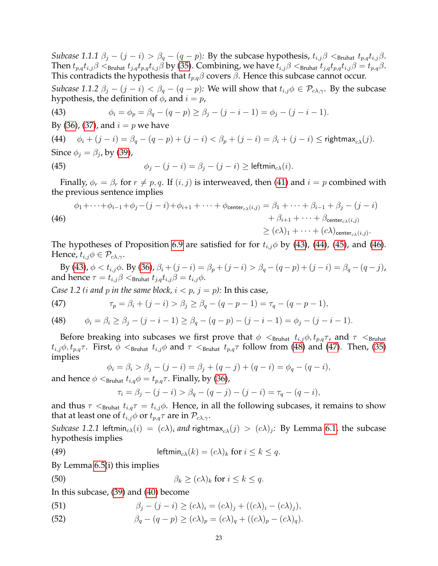*Subcase 1.1.1*  $\beta_j - (j - i) > \beta_q - (q - p)$ : By the subcase hypothesis,  $t_{i,j}\beta <sub>Bruhat</sub> t_{j,j}\beta$ . Then  $t_{p,q}t_{i,j}\beta<_{\text{Bruhat}} t_{j,q}t_{p,q}t_{i,j}\beta$  by [\(35\)](#page-21-1). Combining, we have  $t_{i,j}\beta<_{\text{Bruhat}} t_{j,q}t_{p,q}t_{i,j}\beta=t_{p,q}\beta$ . This contradicts the hypothesis that  $t_{p,q}\beta$  covers  $\beta$ . Hence this subcase cannot occur.

*Subcase 1.1.2*  $\beta_i - (j - i) < \beta_q - (q - p)$ : We will show that  $t_{i,j} \phi \in \mathcal{P}_{c\lambda,\gamma}$ . By the subcase hypothesis, the definition of  $\phi$ , and  $i = p$ ,

<span id="page-22-0"></span>(43) 
$$
\phi_i = \phi_p = \beta_q - (q - p) \ge \beta_j - (j - i - 1) = \phi_j - (j - i - 1).
$$

By [\(36\)](#page-21-2), [\(37\)](#page-21-3), and  $i = p$  we have

<span id="page-22-1"></span>(44)  $\phi_i + (j - i) = \beta_a - (q - p) + (j - i) < \beta_n + (j - i) = \beta_i + (j - i) <$  rightmax<sub>c</sub><sub>λ</sub>(*i*). Since  $\phi_j = \beta_j$ , by [\(39\)](#page-21-4), (45)  $\phi_i - (i - i) = \beta_i - (i - i) > \text{leftmin}_{c\lambda}(i).$ 

<span id="page-22-2"></span>Finally,  $\phi_r = \beta_r$  for  $r \neq p, q$ . If  $(i, j)$  is interweaved, then [\(41\)](#page-21-5) and  $i = p$  combined with the previous sentence implies

<span id="page-22-3"></span>(46)  
\n
$$
\phi_1 + \dots + \phi_{i-1} + \phi_j - (j-i) + \phi_{i+1} + \dots + \phi_{\text{center}_{c\lambda}(i,j)} = \beta_1 + \dots + \beta_{i-1} + \beta_j - (j-i) + \beta_{i+1} + \dots + \beta_{\text{center}_{c\lambda}(i,j)} = \beta_1 + \dots + \beta_{\text{center}_{c\lambda}(i,j)}
$$
\n
$$
\geq (c\lambda)_1 + \dots + (c\lambda)_{\text{center}_{c\lambda}(i,j)}.
$$

The hypotheses of Proposition [6.9](#page-16-2) are satisfied for for  $t_{i,j}\phi$  by [\(43\)](#page-22-0), [\(44\)](#page-22-1), [\(45\)](#page-22-2), and [\(46\)](#page-22-3). Hence,  $t_{i,j}\phi \in \mathcal{P}_{c\lambda,\gamma}$ .

By [\(43\)](#page-22-0),  $\phi < t_{i,j}\phi$ . By [\(36\)](#page-21-2),  $\beta_i + (j - i) = \beta_p + (j - i) > \beta_q - (q - p) + (j - i) = \beta_q - (q - j)$ , and hence  $\tau = t_{i,j}\beta <_{\text{Bruhat}} t_{j,q}t_{i,j}\beta = t_{i,j}\phi$ .

*Case 1.2 (i and p in the same block,*  $i < p$ *,*  $j = p$ *): In this case,* 

<span id="page-22-5"></span>(47) 
$$
\tau_p = \beta_i + (j - i) > \beta_j \ge \beta_q - (q - p - 1) = \tau_q - (q - p - 1),
$$

<span id="page-22-4"></span>(48) 
$$
\phi_i = \beta_i \ge \beta_j - (j - i - 1) \ge \beta_q - (q - p) - (j - i - 1) = \phi_j - (j - i - 1).
$$

Before breaking into subcases we first prove that  $\phi <_{\text{Bruhat}} t_{i,j}\phi, t_{p,q}\tau$ , and  $\tau <_{\text{Bruhat}}$  $t_{i,j}\phi, t_{p,q}\tau$ . First,  $\phi \leq_{Bruhat} t_{i,j}\phi$  and  $\tau \leq_{Bruhat} t_{p,q}\tau$  follow from [\(48\)](#page-22-4) and [\(47\)](#page-22-5). Then, [\(35\)](#page-21-1) implies

$$
\phi_i = \beta_i > \beta_j - (j - i) = \beta_j + (q - j) + (q - i) = \phi_q - (q - i),
$$

and hence  $\phi <_{\text{Bruhat}} t_{i,q} \phi = t_{p,q} \tau$ . Finally, by [\(36\)](#page-21-2),

<span id="page-22-7"></span><span id="page-22-6"></span>
$$
\tau_i = \beta_j - (j - i) > \beta_q - (q - j) - (j - i) = \tau_q - (q - i),
$$

and thus  $\tau <_{\text{Bruhat}} t_{i,q}\tau = t_{i,j}\phi$ . Hence, in all the following subcases, it remains to show that at least one of  $t_{i,j}\phi$  or  $t_{p,q}\tau$  are in  $\mathcal{P}_{c\lambda,\gamma}$ .

*Subcase* 1.2.1 leftmin<sub>c $\lambda$ </sub> $(i) = (c\lambda)_i$  *and* rightmax $_{c\lambda}(j) > (c\lambda)_j$ : By Lemma [6.1,](#page-13-2) the subcase hypothesis implies

(49) 
$$
\qquad \qquad \mathsf{leftmin}_{c\lambda}(k) = (c\lambda)_k \text{ for } i \leq k \leq q.
$$

By Lemma [6.5\(](#page-14-2)i) this implies

(50) 
$$
\beta_k \geq (c\lambda)_k \text{ for } i \leq k \leq q.
$$

In this subcase, [\(39\)](#page-21-4) and [\(40\)](#page-21-6) become

<span id="page-22-8"></span>(51) 
$$
\beta_j - (j - i) \ge (c\lambda)_i = (c\lambda)_j + ((c\lambda)_i - (c\lambda)_j),
$$

<span id="page-22-9"></span>(52)  $\beta_a - (q - p) \ge (c\lambda)_p = (c\lambda)_a + ((c\lambda)_p - (c\lambda)_q).$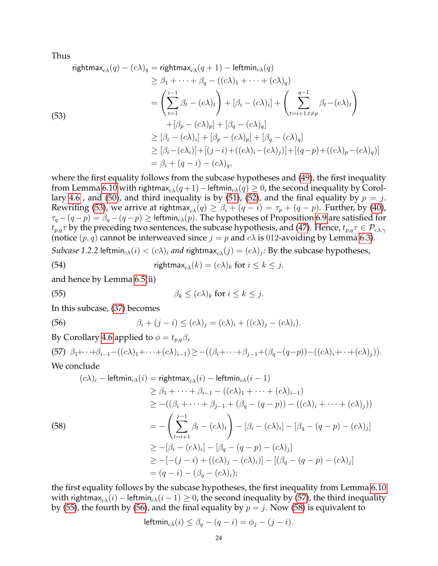Thus

<span id="page-23-0"></span>rightmax<sub>cλ</sub>(q) - (cλ)<sub>q</sub> = rightmax<sub>cλ</sub>(q + 1) - leftmin<sub>cλ</sub>(q)  
\n
$$
\geq \beta_1 + \dots + \beta_q - ((cλ)_1 + \dots + (cλ)_q)
$$
\n
$$
= \left(\sum_{t=1}^{i-1} \beta_t - (cλ)_t\right) + [\beta_i - (cλ)_i] + \left(\sum_{t=i+1, t \neq p}^{q-1} \beta_t - (cλ)_t\right)
$$
\n(53)  
\n
$$
+ [\beta_p - (cλ)_p] + [\beta_q - (cλ)_q]
$$
\n
$$
\geq [\beta_i - (cλ)_i] + [\beta_p - (cλ)_p] + [\beta_q - (cλ)_q]
$$
\n
$$
\geq [\beta_i - (cλ_i)] + [(j-i) + ((cλ)_i - (cλ)_j)] + [(q-p) + ((cλ)_p - (cλ)_q)]
$$
\n
$$
= \beta_i + (q - i) - (cλ)_q,
$$

where the first equality follows from the subcase hypotheses and [\(49\)](#page-22-6), the first inequality from Lemma [6.10](#page-18-5) with rightmax<sub>cλ</sub>(q + 1) – leftmin<sub>cλ</sub>(q) ≥ 0, the second inequality by Corol-lary [4.6](#page-10-3), and [\(50\)](#page-22-7), and third inequality is by [\(51\)](#page-22-8), [\(52\)](#page-22-9), and the final equality by  $p = j$ . Rewriting [\(53\)](#page-23-0), we arrive at rightmax<sub>c $\lambda$ </sub>(q)  $\geq \beta_i + (q - i) = \tau_p + (q - p)$ . Further, by [\(40\)](#page-21-6),  $\tau_q - (q - p) = \beta_q - (q - p) \geq$  leftmin<sub>cλ</sub>(p). The hypotheses of Proposition [6.9](#page-16-2) are satisfied for  $t_{p,q}\tau$  by the preceding two sentences, the subcase hypothesis, and [\(47\)](#page-22-5). Hence,  $t_{p,q}\tau \in \mathcal{P}_{c\lambda,\gamma}$ (notice  $(p, q)$  cannot be interweaved since  $j = p$  and  $c\lambda$  is 012-avoiding by Lemma [6.3\)](#page-14-1). *Subcase 1.2.2* leftmin<sub>c $\lambda$ </sub> $(i) < (c\lambda)_i$  *and* rightmax $_{c\lambda}(j) = (c\lambda)_j$ : By the subcase hypotheses,

(54) 
$$
\mathsf{rightmax}_{c\lambda}(k) = (c\lambda)_k \text{ for } i \leq k \leq j,
$$

and hence by Lemma [6.5\(](#page-14-2)ii)

<span id="page-23-2"></span>(55) 
$$
\beta_k \leq (c\lambda)_k \text{ for } i \leq k \leq j.
$$

In this subcase, [\(37\)](#page-21-3) becomes

<span id="page-23-3"></span>(56) 
$$
\beta_i + (j - i) \leq (c\lambda)_j = (c\lambda)_i + ((c\lambda)_j - (c\lambda)_i).
$$

By Corollary [4.6](#page-10-3) applied to  $\phi = t_{p,q}\beta$ ,

<span id="page-23-1"></span>(57)  $\beta_1 + \cdots + \beta_{i-1} - ((c\lambda)_1 + \cdots + (c\lambda)_{i-1}) \ge -((\beta_i + \cdots + \beta_{j-1} + (\beta_q - (q-p)) - ((c\lambda)_i + \cdots + (c\lambda)_j)).$ We conclude

$$
(c\lambda)_i - \text{leftmin}_{c\lambda}(i) = \text{rightmax}_{c\lambda}(i) - \text{leftmin}_{c\lambda}(i-1)
$$
  
\n
$$
\geq \beta_1 + \dots + \beta_{i-1} - ((c\lambda)_1 + \dots + (c\lambda)_{i-1})
$$
  
\n
$$
\geq -((\beta_i + \dots + \beta_{j-1} + (\beta_q - (q-p)) - ((c\lambda)_i + \dots + (c\lambda)_j))
$$
  
\n8)  
\n8)  
\n8)  
\n
$$
= -\left(\sum_{t=i+1}^{j-1} \beta_t - (c\lambda)_t\right) - [\beta_i - (c\lambda)_i] - [\beta_q - (q-p) - (c\lambda)_j]
$$
  
\n
$$
\geq -[\beta_i - (c\lambda)_i] - [\beta_q - (q-p) - (c\lambda)_j]
$$
  
\n
$$
\geq -[-(j-i) + ((c\lambda)_j - (c\lambda)_i)] - [(\beta_q - (q-p) - (c\lambda)_j]
$$
  
\n
$$
= (q-i) - (\beta_q - (c\lambda)_i);
$$

<span id="page-23-4"></span> $(5)$ 

the first equality follows by the subcase hypotheses, the first inequality from Lemma [6.10](#page-18-5) with rightmax<sub>cλ</sub>(i) – leftmin<sub>cλ</sub>(i – 1)  $\geq$  0, the second inequality by [\(57\)](#page-23-1), the third inequality by [\(55\)](#page-23-2), the fourth by [\(56\)](#page-23-3), and the final equality by  $p = j$ . Now [\(58\)](#page-23-4) is equivalent to

$$
\mathsf{leftmin}_{c\lambda}(i) \le \beta_q - (q - i) = \phi_j - (j - i).
$$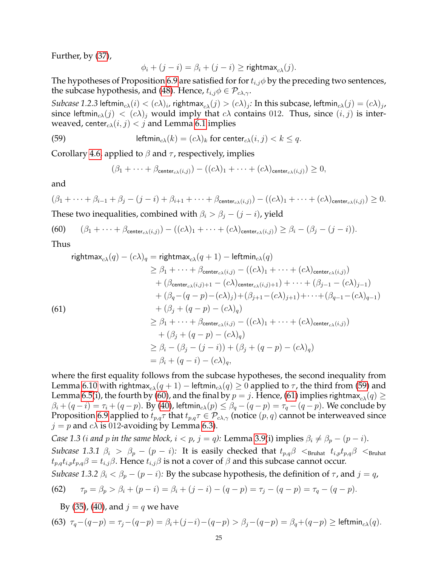Further, by [\(37\)](#page-21-3),

$$
\phi_i + (j - i) = \beta_i + (j - i) \geq \text{rightmax}_{c\lambda}(j).
$$

The hypotheses of Proposition [6.9](#page-16-2) are satisfied for for  $t_{i,j}\phi$  by the preceding two sentences, the subcase hypothesis, and [\(48\)](#page-22-4). Hence,  $t_{i,j}\phi \in \mathcal{P}_{c\lambda,\gamma}$ .

 $Subcase$   $1.2.3$  leftmin $_{c\lambda}(i)<(c\lambda)_i$ , rightmax $_{c\lambda}(j)>(c\lambda)_j$ : In this subcase, leftmin $_{c\lambda}(j)=(c\lambda)_j$ , since leftmin<sub>c $\lambda(j) < (c\lambda)_j$ </sub> would imply that  $c\lambda$  contains 012. Thus, since  $(i, j)$  is interweaved, center<sub>c $\lambda$ </sub> $(i, j) < j$  and Lemma [6.1](#page-13-2) implies

(59) 
$$
\text{leftmin}_{c\lambda}(k) = (c\lambda)_k \text{ for center}_{c\lambda}(i,j) < k \leq q.
$$

Corollary [4.6,](#page-10-3) applied to  $\beta$  and  $\tau$ , respectively, implies

<span id="page-24-0"></span>
$$
(\beta_1 + \cdots + \beta_{\mathsf{center}_{c\lambda}(i,j)}) - ((c\lambda)_1 + \cdots + (c\lambda)_{\mathsf{center}_{c\lambda}(i,j)}) \geq 0,
$$

and

$$
(\beta_1 + \cdots + \beta_{i-1} + \beta_j - (j-i) + \beta_{i+1} + \cdots + \beta_{\text{center}_{c\lambda}(i,j)}) - ((c\lambda)_1 + \cdots + (c\lambda)_{\text{center}_{c\lambda}(i,j)}) \geq 0.
$$

These two inequalities, combined with  $\beta_i > \beta_j - (j - i)$ , yield

<span id="page-24-1"></span>(60) 
$$
(\beta_1 + \cdots + \beta_{\text{center}_{c\lambda}(i,j)}) - ((c\lambda)_1 + \cdots + (c\lambda)_{\text{center}_{c\lambda}(i,j)}) \geq \beta_i - (\beta_j - (j - i)).
$$

Thus

<span id="page-24-2"></span>rightmax<sub>c</sub><sub>λ</sub>(q) – (cλ)<sub>q</sub> = rightmax<sub>c</sub><sub>λ</sub>(q + 1) – leftmin<sub>c</sub><sub>λ</sub>(q)  
\n
$$
\geq \beta_1 + \dots + \beta_{\text{center}_{c\lambda}(i,j)} - ((c\lambda)_1 + \dots + (c\lambda)_{\text{center}_{c\lambda}(i,j)})
$$
\n+ (β<sub>center<sub>c</sub><sub>λ</sub>(i,j)+1 – (cλ)<sub>center<sub>c</sub><sub>λ</sub>(i,j)+1) + ··· + (β<sub>j-1</sub> – (cλ)<sub>j-1</sub>)  
\n+ (β<sub>q</sub> – (q – p) – (cλ)<sub>j</sub>) + (β<sub>j+1</sub> – (cλ)<sub>j+1</sub>) + ··· + (β<sub>q-1</sub> – (cλ)<sub>q-1</sub>)  
\n+ (β<sub>j</sub> + (q – p) – (cλ)<sub>q</sub>)  
\n
$$
\geq \beta_1 + \dots + \beta_{\text{center}_{c\lambda}(i,j)} - ((c\lambda)_1 + \dots + (c\lambda)_{\text{center}_{c\lambda}(i,j)})
$$
\n+ (β<sub>j</sub> + (q – p) – (cλ)<sub>q</sub>)  
\n
$$
\geq \beta_i - (\beta_j - (j - i)) + (\beta_j + (q - p) – (cλ)q)
$$
\n= β<sub>i</sub> + (q – i) – (cλ)<sub>q</sub>,</sub></sub>

where the first equality follows from the subcase hypotheses, the second inequality from Lemma [6.10](#page-18-5) with rightmax<sub>c</sub> $(q + 1)$  – leftmin<sub>cλ</sub> $(q) \ge 0$  applied to  $\tau$ , the third from [\(59\)](#page-24-0) and Lemma [6.5\(](#page-14-2)i), the fourth by [\(60\)](#page-24-1), and the final by  $p = j$ . Hence, [\(61\)](#page-24-2) implies rightmax<sub>c $\lambda$ </sub>(q)  $\geq$  $\beta_i + (q - i) = \tau_i + (q - p)$ . By [\(40\)](#page-21-6), leftmin<sub>cλ</sub> $(p) \leq \beta_q - (q - p) = \tau_q - (q - p)$ . We conclude by Proposition [6.9](#page-16-2) applied to  $t_{p,q}\tau$  that  $t_{p,q}\tau \in \mathcal{P}_{c\lambda,\gamma}$  (notice  $(p,q)$  cannot be interweaved since  $j = p$  and  $c\lambda$  is 012-avoiding by Lemma [6.3\)](#page-14-1).

*Case 1.3 (i and p in the same block,*  $i < p$ ,  $j = q$ ): Lemma [3.9\(](#page-7-3)i) implies  $\beta_i \neq \beta_p - (p - i)$ . *Subcase 1.3.1*  $\beta_i > \beta_p - (p - i)$ : It is easily checked that  $t_{p,q}\beta$  <  $s_{\text{Fuhat}}$   $t_{i,p}t_{p,q}\beta$  <  $s_{\text{Fuhat}}$  $t_{p,q}t_{i,p}t_{p,q}\beta = t_{i,j}\beta$ . Hence  $t_{i,j}\beta$  is not a cover of  $\beta$  and this subcase cannot occur. *Subcase 1.3.2*  $\beta_i < \beta_p - (p - i)$ : By the subcase hypothesis, the definition of  $\tau$ , and  $j = q$ ,

<span id="page-24-3"></span>(62) 
$$
\tau_p = \beta_p > \beta_i + (p - i) = \beta_i + (j - i) - (q - p) = \tau_j - (q - p) = \tau_q - (q - p).
$$

<span id="page-24-4"></span>By [\(35\)](#page-21-1), [\(40\)](#page-21-6), and  $j = q$  we have

(63) 
$$
\tau_q - (q-p) = \tau_j - (q-p) = \beta_i + (j-i) - (q-p) > \beta_j - (q-p) = \beta_q + (q-p) \ge \text{leftmin}_{c \lambda}(q).
$$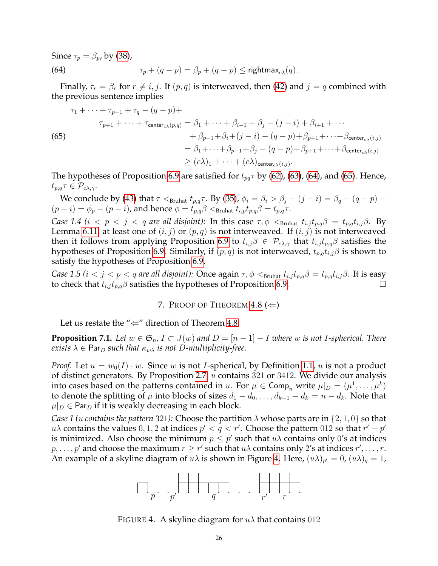Since  $\tau_p = \beta_p$ , by [\(38\)](#page-21-7),

<span id="page-25-1"></span>(64) 
$$
\tau_p + (q - p) = \beta_p + (q - p) \le \text{rightmax}_{c\lambda}(q).
$$

Finally,  $\tau_r = \beta_r$  for  $r \neq i, j$ . If  $(p, q)$  is interweaved, then [\(42\)](#page-21-8) and  $j = q$  combined with the previous sentence implies

<span id="page-25-2"></span>(65)  
\n
$$
\tau_1 + \dots + \tau_{p-1} + \tau_q - (q-p) +
$$
\n
$$
\tau_{p+1} + \dots + \tau_{\text{center}_{c\lambda}(p,q)} = \beta_1 + \dots + \beta_{i-1} + \beta_j - (j-i) + \beta_{i+1} + \dots
$$
\n
$$
+ \beta_{p-1} + \beta_i + (j-i) - (q-p) + \beta_{p+1} + \dots + \beta_{\text{center}_{c\lambda}(i,j)}
$$
\n
$$
= \beta_1 + \dots + \beta_{p-1} + \beta_j - (q-p) + \beta_{p+1} + \dots + \beta_{\text{center}_{c\lambda}(i,j)}
$$
\n
$$
\geq (c\lambda)_1 + \dots + (c\lambda)_{\text{center}_{c\lambda}(i,j)}.
$$

The hypotheses of Proposition [6.9](#page-16-2) are satisfied for  $t_{pq}\tau$  by [\(62\)](#page-24-3), [\(63\)](#page-24-4), [\(64\)](#page-25-1), and [\(65\)](#page-25-2). Hence,  $t_{p,q}\tau \in \mathcal{P}_{c\lambda,\gamma}.$ 

We conclude by [\(43\)](#page-22-0) that  $\tau <_{Bruhat} t_{p,q}\tau$ . By [\(35\)](#page-21-1),  $\phi_i = \beta_i > \beta_j - (j - i) = \beta_q - (q - p) (p - i) = \phi_p - (p - i)$ , and hence  $\phi = t_{p,q}\beta <sub>Bruhat</sub> t_{i,p}t_{p,q}\beta = t_{p,q}\tau$ .

*Case 1.4 (i < p < j < q are all disjoint):* In this case  $\tau$ ,  $\phi$  <  $S_{\text{Fuhat}}$   $t_{i,j}t_{p,q}\beta = t_{p,q}t_{i,j}\beta$ . By Lemma [6.11,](#page-20-7) at least one of  $(i, j)$  or  $(p, q)$  is not interweaved. If  $(i, j)$  is not interweaved then it follows from applying Proposition [6.9](#page-16-2) to  $t_{i,j}\beta \in \mathcal{P}_{c\lambda,\gamma}$  that  $t_{i,j}t_{p,q}\beta$  satisfies the hypotheses of Proposition [6.9.](#page-16-2) Similarly, if  $(p, q)$  is not interweaved,  $t_{p,q}t_{i,j}\beta$  is shown to satisfy the hypotheses of Proposition [6.9.](#page-16-2)

*Case 1.5 (i < j < p < q are all disjoint):* Once again  $\tau$ ,  $\phi$  < <sub>Bruhat</sub>  $t_{i,j}t_{p,q}\beta = t_{p,q}t_{i,j}\beta$ . It is easy to check that  $t_{i,j} t_{p,q} \beta$  satisfies the hypotheses of Proposition [6.9.](#page-16-2)

7. PROOF OF THEOREM  $4.8 \ (\Leftarrow)$  $4.8 \ (\Leftarrow)$ 

<span id="page-25-0"></span>Let us restate the " $\Leftarrow$ " direction of Theorem [4.8:](#page-10-0)

**Proposition 7.1.** Let  $w \in \mathfrak{S}_n$ ,  $I \subset J(w)$  and  $D = [n-1]-I$  where w is not I-spherical. There *exists*  $\lambda \in \text{Par}_D$  *such that*  $\kappa_{w\lambda}$  *is not* D-multiplicity-free.

*Proof.* Let  $u = w_0(I) \cdot w$ . Since w is not *I*-spherical, by Definition [1.1,](#page-0-0) u is not a product of distinct generators. By Proposition [2.7,](#page-4-2) u contains 321 or 3412. We divide our analysis into cases based on the patterns contained in  $u$ . For  $\mu \in \textsf{Comp}_n$  write  $\mu|_D = (\mu^1, \dots, \mu^k)$ to denote the splitting of  $\mu$  into blocks of sizes  $d_1 - d_0, \ldots, d_{k+1} - d_k = n - d_k$ . Note that  $\mu|_D \in \text{Par}_D$  if it is weakly decreasing in each block.

*Case 1 (u contains the pattern* 321): Choose the partition  $\lambda$  whose parts are in  $\{2, 1, 0\}$  so that  $u\lambda$  contains the values 0, 1, 2 at indices  $p' < q < r'$ . Choose the pattern 012 so that  $r' - p'$ is minimized. Also choose the minimum  $p \leq p'$  such that  $u\lambda$  contains only 0's at indices  $p, \ldots, p'$  and choose the maximum  $r \geq r'$  such that  $u\lambda$  contains only 2's at indices  $r', \ldots, r$ . An example of a skyline diagram of  $u\lambda$  is shown in Figure [4.](#page-25-3) Here,  $(u\lambda)_{p'} = 0$ ,  $(u\lambda)_q = 1$ ,



<span id="page-25-3"></span>FIGURE 4. A skyline diagram for  $u\lambda$  that contains 012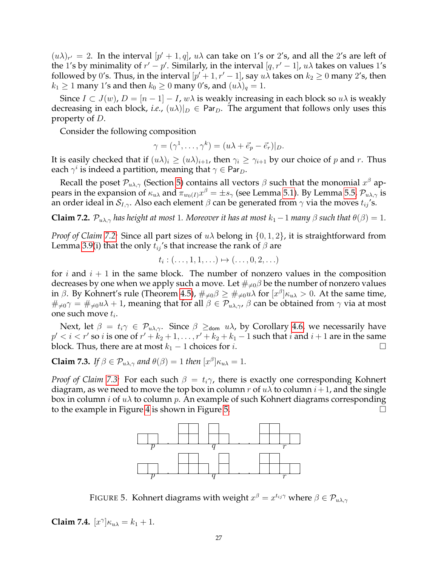$(u\lambda)_{r'} = 2$ . In the interval  $[p' + 1, q]$ ,  $u\lambda$  can take on 1's or 2's, and all the 2's are left of the 1's by minimality of  $r' - p'$ . Similarly, in the interval  $[q, r' - 1]$ ,  $u\lambda$  takes on values 1's followed by 0's. Thus, in the interval  $[p'+1,r'-1]$ , say  $u\lambda$  takes on  $k_2\geq 0$  many 2's, then  $k_1 \geq 1$  many 1's and then  $k_0 \geq 0$  many 0's, and  $(u\lambda)_q = 1$ .

Since  $I \subset J(w)$ ,  $D = [n-1] - I$ , w $\lambda$  is weakly increasing in each block so  $u\lambda$  is weakly decreasing in each block, *i.e.*,  $(u\lambda)|_D \in \text{Par}_D$ . The argument that follows only uses this property of D.

Consider the following composition

$$
\gamma = (\gamma^1, \dots, \gamma^k) = (u\lambda + \vec{e}_p - \vec{e}_r)|_D.
$$

It is easily checked that if  $(u\lambda)_i \geq (u\lambda)_{i+1}$ , then  $\gamma_i \geq \gamma_{i+1}$  by our choice of p and r. Thus each  $\gamma^i$  is indeed a partition, meaning that  $\gamma \in \mathsf{Par}_D.$ 

Recall the poset  $\mathcal{P}_{u\lambda,\gamma}$  (Section [5\)](#page-11-0) contains all vectors  $\beta$  such that the monomial  $x^{\beta}$  appears in the expansion of  $\kappa_{u\lambda}$  and  $\pi_{w_0(I)}x^\beta=\pm s_\gamma$  (see Lemma [5.1\)](#page-11-3). By Lemma [5.5,](#page-11-5)  $\mathcal{P}_{u\lambda,\gamma}$  is an order ideal in  $S_{I,\gamma}$ . Also each element  $\beta$  can be generated from  $\gamma$  via the moves  $t_{ij}$ 's.

<span id="page-26-0"></span>**Claim 7.2.**  $\mathcal{P}_{u\lambda,\gamma}$  has height at most 1. Moreover it has at most  $k_1 - 1$  many  $\beta$  such that  $\theta(\beta) = 1$ .

*Proof of Claim [7.2:](#page-26-0)* Since all part sizes of uλ belong in {0, 1, 2}, it is straightforward from Lemma [3.9\(](#page-7-3)i) that the only  $t_{ij}$ 's that increase the rank of  $\beta$  are

$$
t_i: (\ldots, 1, 1, \ldots) \mapsto (\ldots, 0, 2, \ldots)
$$

for *i* and  $i + 1$  in the same block. The number of nonzero values in the composition decreases by one when we apply such a move. Let  $\#_{\neq 0}\beta$  be the number of nonzero values in β. By Kohnert's rule (Theorem [4.5\)](#page-10-4),  $\#_{\neq 0} \beta \ge \#_{\neq 0} u\lambda$  for  $[x^\beta] \kappa_{u\lambda} > 0$ . At the same time,  $\#_{\neq 0}\gamma = \#_{\neq 0}u\lambda + 1$ , meaning that for all  $\beta \in \mathcal{P}_{u\lambda,\gamma}$ ,  $\beta$  can be obtained from  $\gamma$  via at most one such move  $t_i$ .

Next, let  $\beta = t_i \gamma \in \mathcal{P}_{u\lambda,\gamma}$ . Since  $\beta \geq_{\text{dom}} u\lambda$ , by Corollary [4.6,](#page-10-3) we necessarily have  $p' < i < r'$  so  $i$  is one of  $r' + k_2 + 1, \ldots, r' + k_2 + k_1 - 1$  such that  $i$  and  $i + 1$  are in the same block. Thus, there are at most  $k_1 - 1$  choices for *i*.

<span id="page-26-1"></span>**Claim 7.3.** *If*  $\beta \in \mathcal{P}_{u\lambda,\gamma}$  *and*  $\theta(\beta) = 1$  *then*  $[x^{\beta}] \kappa_{u\lambda} = 1$ *.* 

*Proof of Claim [7.3:](#page-26-1)* For each such  $\beta = t_i \gamma$ , there is exactly one corresponding Kohnert diagram, as we need to move the top box in column r of  $u\lambda$  to column  $i+1$ , and the single box in column *i* of  $u\lambda$  to column *p*. An example of such Kohnert diagrams corresponding to the example in Figure [4](#page-25-3) is shown in Figure [5.](#page-26-2)



<span id="page-26-2"></span>FIGURE 5. Kohnert diagrams with weight  $x^\beta = x^{t_{ij}\gamma}$  where  $\beta \in \mathcal{P}_{u\lambda,\gamma}$ 

<span id="page-26-3"></span>**Claim 7.4.**  $[x^{\gamma}] \kappa_{u\lambda} = k_1 + 1$ .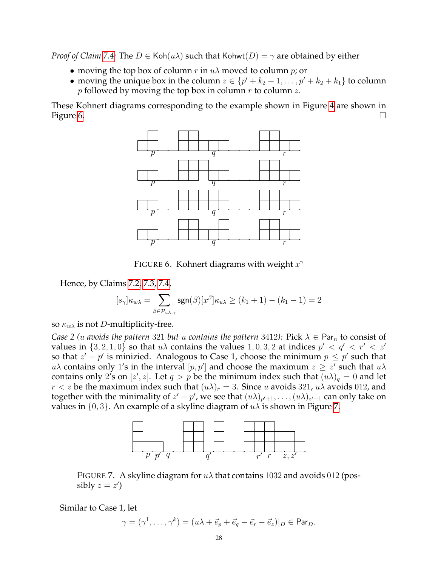*Proof of Claim* [7.4:](#page-26-3) The  $D \in \text{Koh}(u\lambda)$  such that  $\text{Kohwt}(D) = \gamma$  are obtained by either

- moving the top box of column r in  $u\lambda$  moved to column p; or
- moving the unique box in the column  $z \in \{p' + k_2 + 1, \ldots, p' + k_2 + k_1\}$  to column *p* followed by moving the top box in column *r* to column *z*.

These Kohnert diagrams corresponding to the example shown in Figure [4](#page-25-3) are shown in Figure [6.](#page-27-0)  $\Box$ 



<span id="page-27-0"></span>FIGURE 6. Kohnert diagrams with weight  $x^{\gamma}$ 

Hence, by Claims [7.2,](#page-26-0) [7.3,](#page-26-1) [7.4,](#page-26-3)

$$
[s_{\gamma}]\kappa_{w\lambda} = \sum_{\beta \in \mathcal{P}_{u\lambda,\gamma}} \text{sgn}(\beta)[x^{\beta}]\kappa_{u\lambda} \geq (k_1+1) - (k_1-1) = 2
$$

so  $\kappa_{w\lambda}$  is not *D*-multiplicity-free.

*Case 2 (u avoids the pattern 321 but u contains the pattern 3412):* Pick  $\lambda \in \text{Par}_n$  to consist of values in  $\{3, 2, 1, 0\}$  so that  $u\lambda$  contains the values  $1, 0, 3, 2$  at indices  $p' < q' < r' < z'$ so that  $z' - p'$  is minizied. Analogous to Case 1, choose the minimum  $p \leq p'$  such that  $u\lambda$  contains only 1's in the interval  $[p, p']$  and choose the maximum  $z \geq z'$  such that  $u\lambda$ contains only 2's on  $[z', z]$ . Let  $q > p$  be the minimum index such that  $(u\lambda)_q = 0$  and let  $r < z$  be the maximum index such that  $(u\lambda)_r = 3$ . Since u avoids 321,  $u\lambda$  avoids 012, and together with the minimality of  $z'-p'$ , we see that  $(u\lambda)_{p'+1},\ldots,(u\lambda)_{z'-1}$  can only take on values in  $\{0, 3\}$ . An example of a skyline diagram of  $u\lambda$  is shown in Figure [7.](#page-27-1)



<span id="page-27-1"></span>FIGURE 7. A skyline diagram for  $u\lambda$  that contains 1032 and avoids 012 (possibly  $z = z'$ )

Similar to Case 1, let

$$
\gamma = (\gamma^1, \dots, \gamma^k) = (u\lambda + \vec{e}_p + \vec{e}_q - \vec{e}_r - \vec{e}_z)|_D \in \mathsf{Par}_D.
$$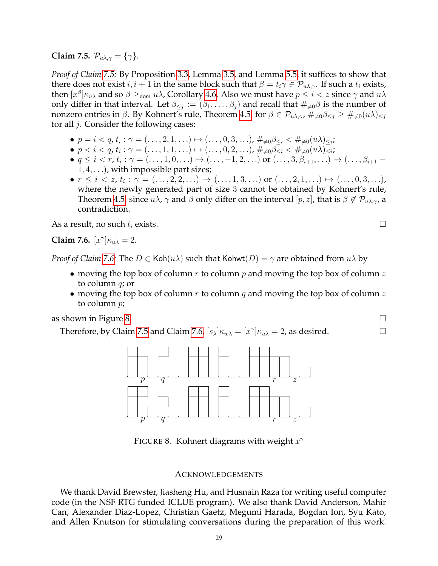<span id="page-28-0"></span>**Claim 7.5.**  $\mathcal{P}_{u\lambda,\gamma} = {\gamma}.$ 

*Proof of Claim [7.5:](#page-28-0)* By Proposition [3.3,](#page-6-1) Lemma [3.5,](#page-7-2) and Lemma [5.5,](#page-11-5) it suffices to show that there does not exist  $i, i + 1$  in the same block such that  $\beta = t_i \gamma \in \mathcal{P}_{u\lambda,\gamma}$ . If such a  $t_i$  exists, then  $[x^\beta]\kappa_{u\lambda}$  and so  $\beta\geq$ <sub>dom</sub>  $u\lambda$ , Corollary [4.6.](#page-10-3) Also we must have  $p\leq i < z$  since  $\gamma$  and  $u\lambda$ only differ in that interval. Let  $\beta_{\leq j} := (\beta_1, \ldots, \beta_j)$  and recall that  $\#_{\neq 0} \beta$  is the number of nonzero entries in β. By Kohnert's rule, Theorem [4.5,](#page-10-4) for  $\beta \in \mathcal{P}_{u\lambda,\gamma}$ ,  $\#_{\neq 0} \beta \leq i \geq \#_{\neq 0}(u\lambda) \leq i$ for all j. Consider the following cases:

- $p = i < q$ ,  $t_i : \gamma = (\ldots, 2, 1, \ldots) \mapsto (\ldots, 0, 3, \ldots)$ ,  $\#_{\neq 0} \beta_{\leq i} < \#_{\neq 0} (u\lambda)_{\leq i}$ ;
- $p < i < q$ ,  $t_i : \gamma = (\ldots, 1, 1, \ldots) \mapsto (\ldots, 0, 2, \ldots)$ ,  $\#_{\neq 0} \beta_{\leq i} < \#_{\neq 0} (u\lambda)_{\leq i}$ ;
- $q \le i < r$ ,  $t_i : \gamma = (\ldots, 1, 0, \ldots) \mapsto (\ldots, -1, 2, \ldots)$  or  $(\ldots, 3, \beta_{i+1}, \ldots) \mapsto (\ldots, \beta_{i+1} 1, 4, \ldots$ , with impossible part sizes;
- $\bullet\,\,r\,\leq\, i\,<\,z,\,t_{i}:\,\gamma\,=\,(\dots,2,2,\dots)\,\mapsto\,(\dots,1,3,\dots)\,\,\textup{or}\,\,(\dots,2,1,\dots)\,\mapsto\,(\dots,0,3,\dots)$ where the newly generated part of size 3 cannot be obtained by Kohnert's rule, Theorem [4.5,](#page-10-4) since  $u\lambda$ ,  $\gamma$  and  $\beta$  only differ on the interval  $[p, z]$ , that is  $\beta \notin \mathcal{P}_{u\lambda,\gamma}$ , a contradiction.

As a result, no such  $t_i$  exists.  $\Box$ 

<span id="page-28-1"></span>Claim 7.6. 
$$
[x^{\gamma}] \kappa_{u\lambda} = 2
$$
.

*Proof of Claim [7.6:](#page-28-1)* The  $D \in \text{Koh}(u\lambda)$  such that  $\text{Kohwt}(D) = \gamma$  are obtained from  $u\lambda$  by

- moving the top box of column  $r$  to column  $p$  and moving the top box of column  $z$ to column q; or
- moving the top box of column r to column q and moving the top box of column z to column p;

as shown in Figure [8.](#page-28-2)  $\Box$ 

Therefore, by Claim [7.5](#page-28-0) and Claim [7.6,](#page-28-1)  $[s_\lambda]_{\kappa_{w\lambda}} = [x^\gamma]_{\kappa_{u\lambda}} = 2$ , as desired.



FIGURE 8. Kohnert diagrams with weight  $x^{\gamma}$ 

# <span id="page-28-2"></span>ACKNOWLEDGEMENTS

We thank David Brewster, Jiasheng Hu, and Husnain Raza for writing useful computer code (in the NSF RTG funded ICLUE program). We also thank David Anderson, Mahir Can, Alexander Diaz-Lopez, Christian Gaetz, Megumi Harada, Bogdan Ion, Syu Kato, and Allen Knutson for stimulating conversations during the preparation of this work.